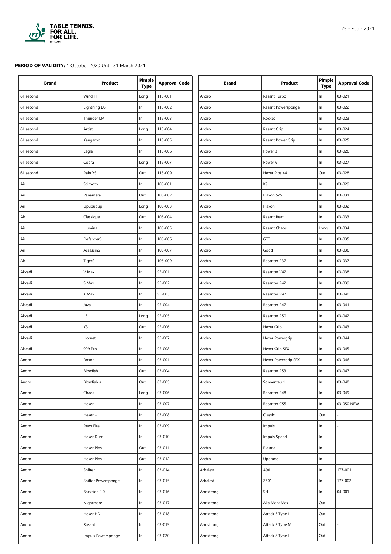

## **PERIOD OF VALIDITY:** 1 October 2020 Until 31 March 2021.

| <b>Brand</b> | Product             | Pimple<br><b>Type</b> | <b>Approval Code</b> | <b>Brand</b> | Product             | Pimple<br><b>Type</b> | <b>Approval Code</b> |
|--------------|---------------------|-----------------------|----------------------|--------------|---------------------|-----------------------|----------------------|
| 61 second    | Wind FT             | Long                  | 115-001              | Andro        | Rasant Turbo        | In                    | 03-021               |
| 61 second    | Lightning DS        | In                    | 115-002              | Andro        | Rasant Powersponge  | In                    | 03-022               |
| 61 second    | Thunder LM          | In                    | 115-003              | Andro        | Rocket              | $\ln$                 | 03-023               |
| 61 second    | Artist              | Long                  | 115-004              | Andro        | Rasant Grip         | $\ln$                 | 03-024               |
| 61 second    | Kangaroo            | In                    | 115-005              | Andro        | Rasant Power Grip   | $\ln$                 | 03-025               |
| 61 second    | Eagle               | In                    | 115-006              | Andro        | Power 3             | $\ln$                 | 03-026               |
| 61 second    | Cobra               | Long                  | 115-007              | Andro        | Power 6             | In                    | 03-027               |
| 61 second    | Rain YS             | Out                   | 115-009              | Andro        | Hexer Pips 44       | Out                   | 03-028               |
| Air          | Scirocco            | In.                   | 106-001              | Andro        | K9                  | In                    | 03-029               |
| Air          | Panamera            | Out                   | 106-002              | Andro        | Plaxon 525          | ln                    | 03-031               |
| Air          | Upupupup            | Long                  | 106-003              | Andro        | Plaxon              | $\ln$                 | 03-032               |
| Air          | Classique           | Out                   | 106-004              | Andro        | Rasant Beat         | $\ln$                 | 03-033               |
| Air          | Illumina            | In                    | 106-005              | Andro        | Rasant Chaos        | Long                  | 03-034               |
| Air          | DefenderS           | In                    | 106-006              | Andro        | GTT                 | In                    | 03-035               |
| Air          | AssassinS           | In                    | 106-007              | Andro        | Good                | In                    | 03-036               |
| Air          | TigerS              | In                    | 106-009              | Andro        | Rasanter R37        | In                    | 03-037               |
| Akkadi       | V Max               | ln                    | 95-001               | Andro        | Rasanter V42        | ln                    | 03-038               |
| Akkadi       | S Max               | In                    | 95-002               | Andro        | Rasanter R42        | ln                    | 03-039               |
| Akkadi       | K Max               | In                    | 95-003               | Andro        | Rasanter V47        | $\ln$                 | 03-040               |
| Akkadi       | Java                | In                    | 95-004               | Andro        | Rasanter R47        | In                    | $03 - 041$           |
| Akkadi       | L3                  | Long                  | 95-005               | Andro        | Rasanter R50        | $\ln$                 | 03-042               |
| Akkadi       | K3                  | Out                   | 95-006               | Andro        | Hexer Grip          | In                    | 03-043               |
| Akkadi       | Hornet              | In                    | 95-007               | Andro        | Hexer Powergrip     | In                    | 03-044               |
| Akkadi       | 999 Pro             | In                    | 95-008               | Andro        | Hexer Grip SFX      | In                    | 03-045               |
| Andro        | Roxon               | In                    | 03-001               | Andro        | Hexer Powergrip SFX | In                    | 03-046               |
| Andro        | Blowfish            | Out                   | 03-004               | Andro        | Rasanter R53        | $\ln$                 | 03-047               |
| Andro        | Blowfish +          | Out                   | 03-005               | Andro        | Sonnentau 1         | $\ln$                 | 03-048               |
| Andro        | Chaos               | Long                  | 03-006               | Andro        | Rasanter R48        | $\ln$                 | 03-049               |
| Andro        | Hexer               | In                    | 03-007               | Andro        | Rasanter C55        | ln                    | 03-050 NEW           |
| Andro        | Hexer +             | In                    | 03-008               | Andro        | Classic             | Out                   |                      |
| Andro        | Revo Fire           | In                    | 03-009               | Andro        | Impuls              | ln                    |                      |
| Andro        | Hexer Duro          | In.                   | 03-010               | Andro        | Impuls Speed        | ln                    |                      |
| Andro        | Hexer Pips          | Out                   | 03-011               | Andro        | Plasma              | $\ln$                 |                      |
| Andro        | Hexer Pips +        | Out                   | 03-012               | Andro        | Upgrade             | ln                    |                      |
| Andro        | Shifter             | In.                   | 03-014               | Arbalest     | A901                | $\ln$                 | 177-001              |
| Andro        | Shifter Powersponge | In                    | 03-015               | Arbalest     | Z601                | $\ln$                 | 177-002              |
| Andro        | Backside 2.0        | In.                   | 03-016               | Armstrong    | $SH-I$              | ln                    | 04-001               |
| Andro        | Nightmare           | In                    | 03-017               | Armstrong    | Aka Mark Max        | Out                   |                      |
| Andro        | Hexer HD            | In.                   | 03-018               | Armstrong    | Attack 3 Type L     | Out                   |                      |
| Andro        | Rasant              | In                    | 03-019               | Armstrong    | Attack 3 Type M     | Out                   |                      |
| Andro        | Impuls Powersponge  | In                    | 03-020               | Armstrong    | Attack 8 Type L     | Out                   |                      |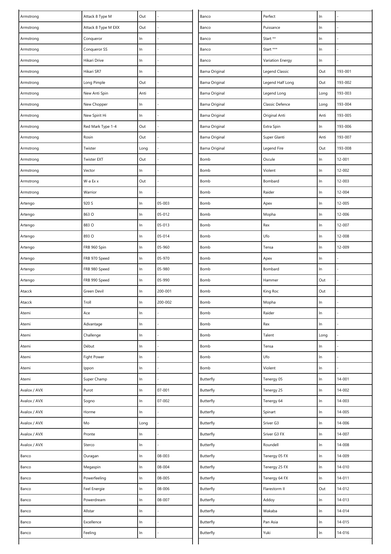| Armstrong    | Attack 8 Type M     | Out   |            | Banco          | Perfect          | $\ln$ |            |
|--------------|---------------------|-------|------------|----------------|------------------|-------|------------|
| Armstrong    | Attack 8 Type M EXX | Out   |            | Banco          | Puissance        | $\ln$ |            |
| Armstrong    | Conqueror           | In    |            | Banco          | Start **         | ln    |            |
| Armstrong    | Conqueror SS        | In    |            | Banco          | Start ***        | In    |            |
| Armstrong    | Hikari Drive        | In    |            | Banco          | Variation Energy | $\ln$ |            |
| Armstrong    | Hikari SR7          | In    |            | Barna Original | Legend Classic   | Out   | 193-001    |
| Armstrong    | Long Pimple         | Out   |            | Barna Original | Legend Half Long | Out   | 193-002    |
| Armstrong    | New Anti Spin       | Anti  |            | Barna Original | Legend Long      | Long  | 193-003    |
| Armstrong    | New Chopper         | In    |            | Barna Original | Classic Defence  | Long  | 193-004    |
| Armstrong    | New Spirit Hi       | In    |            | Barna Original | Original Anti    | Anti  | 193-005    |
| Armstrong    | Red Mark Type 1-4   | Out   |            | Barna Original | Extra Spin       | $\ln$ | 193-006    |
| Armstrong    | Rosin               | Out   |            | Barna Original | Super Glanti     | Anti  | 193-007    |
| Armstrong    | Twister             | Long  |            | Barna Original | Legend Fire      | Out   | 193-008    |
| Armstrong    | <b>Twister EXT</b>  | Out   |            | Bomb           | Oscule           | In    | 12-001     |
| Armstrong    | Vector              | In    |            | Bomb           | Violent          | $\ln$ | 12-002     |
| Armstrong    | W-a Ex x            | Out   |            | Bomb           | Bombard          | $\ln$ | 12-003     |
| Armstrong    | Warrior             | In    |            | Bomb           | Raider           | In    | 12-004     |
| Artengo      | 920 S               | In    | 05-003     | Bomb           | Apex             | $\ln$ | $12 - 005$ |
| Artengo      | 863 O               | $\ln$ | 05-012     | Bomb           | Mopha            | In    | 12-006     |
| Artengo      | 883 O               | In    | 05-013     | Bomb           | Rex              | In    | 12-007     |
| Artengo      | 893 O               | $\ln$ | 05-014     | Bomb           | Ufo              | In    | 12-008     |
| Artengo      | FRB 960 Spin        | $\ln$ | 05-960     | Bomb           | Tensa            | In    | 12-009     |
| Artengo      | FRB 970 Speed       | $\ln$ | 05-970     | Bomb           | Apex             | $\ln$ |            |
| Artengo      | FRB 980 Speed       | In    | 05-980     | Bomb           | Bombard          | $\ln$ |            |
| Artengo      | FRB 990 Speed       | In    | 05-990     | Bomb           | Hammer           | Out   |            |
| Atacck       | Green Devil         | In    | 200-001    | Bomb           | King Roc         | Out   |            |
| Atacck       | Troll               | In    | 200-002    | Bomb           | Mopha            | $\ln$ |            |
| Atemi        | Ace                 | In    |            | Bomb           | Raider           | $\ln$ |            |
| Atemi        | Advantage           | In    |            | Bomb           | Rex              | $\ln$ |            |
| Atemi        | Challenge           | In    |            | Bomb           | Talent           | Long  |            |
| Atemi        | Début               | $\ln$ |            | Bomb           | Tensa            | In    |            |
| Atemi        | Fight Power         | In    |            | Bomb           | Ufo              | $\ln$ |            |
| Atemi        | Ippon               | In    |            | Bomb           | Violent          | $\ln$ |            |
| Atemi        | Super Champ         | In    |            | Butterfly      | Tenergy 05       | In    | 14-001     |
| Avalox / AVX | Purot               | $\ln$ | $07 - 001$ | Butterfly      | Tenergy 25       | In    | 14-002     |
| Avalox / AVX | Sogno               | $\ln$ | 07-002     | Butterfly      | Tenergy 64       | In    | 14-003     |
| Avalox / AVX | Horme               | In    |            | Butterfly      | Spinart          | In    | 14-005     |
| Avalox / AVX | Mo                  | Long  |            | Butterfly      | Sriver G3        | In    | 14-006     |
| Avalox / AVX | Pronte              | In    |            | Butterfly      | Sriver G3 FX     | $\ln$ | 14-007     |
| Avalox / AVX | Sterco              | In    |            | Butterfly      | Roundell         | $\ln$ | 14-008     |
| Banco        | Ouragan             | In    | 08-003     | Butterfly      | Tenergy 05 FX    | In    | 14-009     |
| Banco        | Megaspin            | $\ln$ | 08-004     | Butterfly      | Tenergy 25 FX    | In    | 14-010     |
| Banco        | Powerfeeling        | In    | 08-005     | Butterfly      | Tenergy 64 FX    | In    | 14-011     |
| Banco        | Feel Energie        | $\ln$ | 08-006     | Butterfly      | Flarestorm II    | Out   | 14-012     |
| Banco        | Powerdream          | In    | 08-007     | Butterfly      | Addoy            | In    | 14-013     |
| Banco        | Allstar             | $\ln$ |            | Butterfly      | Wakaba           | In    | $14 - 014$ |
| Banco        | Excellence          | In    |            | Butterfly      | Pan Asia         | $\ln$ | 14-015     |
| Banco        | Feeling             | In    |            | Butterfly      | Yuki             | $\ln$ | 14-016     |
|              |                     |       |            |                |                  |       |            |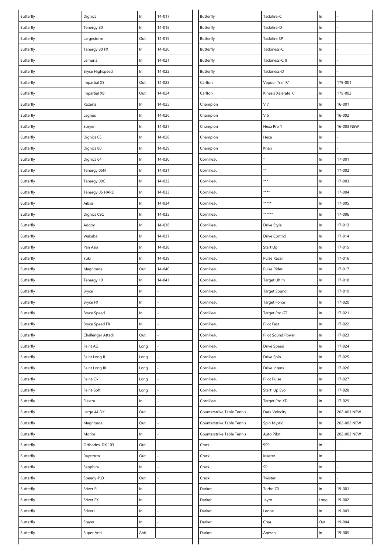| Butterfly              | Dignics             | $\ln$ | $14 - 017$ | Butterfly                  | Tackifire-C                | ln             |             |
|------------------------|---------------------|-------|------------|----------------------------|----------------------------|----------------|-------------|
| Butterfly              | Tenergy 80          | In    | 14-018     | Butterfly                  | Tackifire-D                | $\ln$          |             |
| Butterfly              | Largestorm          | Out   | 14-019     | <b>Butterfly</b>           | Tackifire SP               | $\ln$          |             |
| Butterfly              | Tenergy 80 FX       | $\ln$ | 14-020     | Butterfly                  | Tackiness-C                | $\ln$          |             |
| <b>Butterfly</b>       | Lemuria             | $\ln$ | 14-021     | Butterfly                  | Tackiness-C II             | $\ln$          |             |
| Butterfly              | Bryce Highspeed     | In    | 14-022     | <b>Butterfly</b>           | Tackiness-D                | $\ln$          |             |
| Butterfly              | <b>Impartial XS</b> | Out   | 14-023     | Carlton                    | Vapour Trail R1            | $\ln$          | 179-001     |
| Butterfly              | <b>Impartial XB</b> | Out   | 14-024     | Carlton                    | Kinesis Xelerate K1        | ln             | 179-002     |
| Butterfly              | Rozena              | In    | 14-025     | Champion                   | V <sub>7</sub>             | $\ln$          | 16-001      |
| Butterfly              | Lagnus              | $\ln$ | 14-026     | Champion                   | V <sub>5</sub>             | $\ln$          | 16-002      |
| Butterfly              | Spryer              | In    | 14-027     | Champion                   | Hexa Pro 1                 | $\ln$          | 16-003 NEW  |
| <b>Butterfly</b>       | Dignics 05          | $\ln$ | 14-028     | Champion                   | Hexa                       | $\ln$          |             |
| Butterfly              | Dignics 80          | $\ln$ | 14-029     | Champion                   | Khan                       | ln             |             |
| <b>Butterfly</b>       | Dignics 64          | $\ln$ | 14-030     | Cornilleau                 |                            | $\ln$          | 17-001      |
| Butterfly              | Tenergy 05N         | $\ln$ | 14-031     | Cornilleau                 | **                         | $\ln$          | 17-002      |
| Butterfly              | Tenergy 09C         | In    | 14-032     | Cornilleau                 | ***                        | $\ln$          | 17-003      |
| Butterfly              | Tenergy 05 HARD     | $\ln$ | 14-033     | Cornilleau                 | ****                       | In             | 17-004      |
| Butterfly              | Aibiss              | In    | 14-034     | Cornilleau                 | *****                      | In             | 17-005      |
| Butterfly              | Dignics 09C         | $\ln$ | 14-035     | Cornilleau                 | ******                     | $\ln$          | 17-006      |
| Butterfly              | Addoy               | In    | 14-036     | Cornilleau                 | Drive Style                | $\ln$          | 17-013      |
| Butterfly              | Wakaba              | $\ln$ | 14-037     | Cornilleau                 | Drive Control              | $\ln$          | 17-014      |
| Butterfly              | Pan Asia            | $\ln$ | 14-038     | Cornilleau                 | Start Up'                  | $\ln$          | 17-015      |
| Butterfly              | Yuki                | In    | 14-039     | Cornilleau                 | Pulse Racer                | $\ln$          | 17-016      |
| Butterfly              | Magnitude           | Out   | 14-040     | Cornilleau                 | Pulse Rider                | $\ln$          | 17-017      |
| Butterfly              | Tenergy 19          | In    | $14 - 041$ | Cornilleau                 | Target Ultim               | $\ln$          | 17-018      |
| Butterfly              | Bryce               | In    |            | Cornilleau                 | Target Sound               | $\ln$          | 17-019      |
| Butterfly              | Bryce FX            | In    |            | Cornilleau                 | <b>Target Force</b>        | In             | 17-020      |
| Butterfly              | <b>Bryce Speed</b>  | In    |            | Cornilleau                 | Target Pro GT              | ln             | 17-021      |
| Butterfly              | Bryce Speed FX      | In    |            | Cornilleau                 | Pilot Fast                 | $\ln$          | 17-022      |
| Butterfly              | Challenger Attack   | Out   |            | Cornilleau                 | Pilot Sound Power          | $\ln$          | 17-023      |
| Butterfly              | Feint AG            | Long  |            | Cornilleau                 | Drive Speed                | $\ln$          | 17-024      |
| Butterfly              | Feint Long II       | Long  |            | Cornilleau                 | Drive Spin                 | In             | 17-025      |
| Butterfly              | Feint Long III      | Long  |            | Cornilleau                 | Drive Intens               | $\ln$          | 17-026      |
| Butterfly              | Feint-Ox            | Long  |            | Cornilleau                 | Pilot Pulse                | $\ln$          | 17-027      |
| Butterfly              | Feint-Soft          | Long  |            | Cornilleau                 | Start' Up Evo              | $\ln$          | 17-028      |
| Butterfly              | Flextra             | In    |            | Cornilleau                 | Target Pro XD              | $\ln$          | 17-029      |
| Butterfly              | Large 44 DX         | Out   |            | Counterstrike Table Tennis | Dark Velocity              | In             | 202-001 NEW |
| Butterfly              | Magnitude           | Out   |            | Counterstrike Table Tennis | Spin Mystic                | $\ln$          | 202-002 NEW |
| Butterfly              | Morim               | In    |            | Counterstrike Table Tennis | Auto Pilot                 | In             | 202-003 NEW |
|                        | Orthodox-DX,103     | Out   |            | Crack                      | 999                        |                |             |
| Butterfly<br>Butterfly | Raystorm            | Out   |            | Crack                      | Master                     | $\ln$<br>$\ln$ |             |
|                        |                     |       |            |                            |                            |                |             |
| Butterfly              | Sapphira            | In    |            | Crack                      | $\ensuremath{\mathsf{SP}}$ | $\ln$          |             |
| Butterfly              | Speedy-P.O.         | Out   |            | Crack                      | Twister                    | In             |             |
| Butterfly              | Sriver EL           | In    |            | Darker                     | Turbo 70                   | In             | 19-001      |
| Butterfly              | Sriver FX           | In    |            | Darker                     | Jayro                      | Long           | 19-002      |
| Butterfly              | Sriver L            | In    |            | Darker                     | Leone                      | $\ln$          | 19-003      |
| Butterfly              | Stayer              | In    |            | Darker                     | Crea                       | Out            | 19-004      |
| Butterfly              | Super Anti          | Anti  |            | Darker                     | Anessis                    | $\ln$          | 19-005      |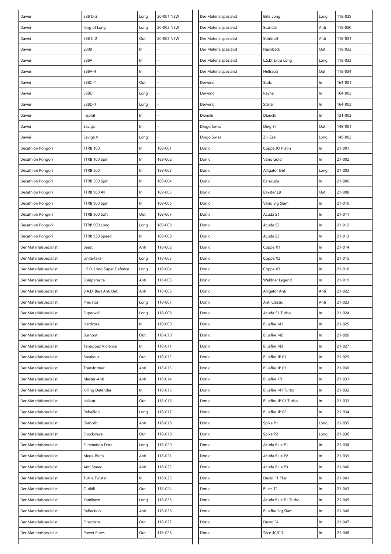| Dawei                  | 388 D-2                   | Long | 20-001 NEW | Der Materialspezialist | Elite Long               | Long  | 118-029    |
|------------------------|---------------------------|------|------------|------------------------|--------------------------|-------|------------|
| Dawei                  | King of Long              | Long | 20-002 NEW | Der Materialspezialist | Scandal                  | Anti  | 118-030    |
| Dawei                  | 388 C-2                   | Out  | 20-003 NEW | Der Materialspezialist | Störkraft                | Anti  | 118-031    |
| Dawei                  | 2008                      | In   |            | Der Materialspezialist | Flashback                | Out   | 118-032    |
| Dawei                  | 388A                      | In   |            | Der Materialspezialist | L.S.D. Extra Long        | Long  | 118-033    |
| Dawei                  | 388A-4                    | In   |            | Der Materialspezialist | Hellracer                | Out   | 118-034    |
| Dawei                  | 388C-1                    | Out  |            | Derwind                | Stolz                    | In    | 164-001    |
| Dawei                  | 388D                      | Long |            | Derwind                | Rayhe                    | $\ln$ | 164-002    |
| Dawei                  | 388D-1                    | Long |            | Derwind                | Stellar                  | $\ln$ | 164-003    |
| Dawei                  | Inspirit                  | In   |            | Dianchi                | Dianchi                  | In    | 131-003    |
| Dawei                  | Saviga                    | In   |            | Dingo Swiss            | Ding Yi                  | Out   | 149-001    |
| Dawei                  | Saviga V                  | Long |            | Dingo Swiss            | Zik Zak                  | Long  | 149-002    |
| Decathlon Pongori      | <b>TTRB 100</b>           | In   | 189-001    | Donic                  | Coppa JO Platin          | $\ln$ | 21-001     |
| Decathlon Pongori      | TTRB 100 Spin             | In   | 189-002    | Donic                  | Vario Gold               | In    | 21-002     |
| Decathlon Pongori      | <b>TTRB 500</b>           | In   | 189-003    | Donic                  | Alligator Def            | Long  | 21-003     |
| Decathlon Pongori      | TTRB 500 Spin             | In   | 189-004    | Donic                  | Baracuda                 | In    | 21-006     |
| Decathlon Pongori      | TTRB 900 All              | In   | 189-005    | Donic                  | <b>Baxster LB</b>        | Out   | 21-008     |
| Decathlon Pongori      | TTRB 900 Spin             | In   | 189-006    | Donic                  | Vario Big Slam           | $\ln$ | 21-010     |
| Decathlon Pongori      | TTRB 900 Soft             | Out  | 189-007    | Donic                  | Acuda S1                 | In    | 21-011     |
| Decathlon Pongori      | TTRB 900 Long             | Long | 189-008    | Donic                  | Acuda S2                 | In    | 21-012     |
| Decathlon Pongori      | TTRB 930 Speed            | In   | 189-009    | Donic                  | Acuda S3                 | In    | $21 - 013$ |
| Der Materialspezialist | Beast                     | Anti | 118-002    | Donic                  | Coppa X1                 | In    | 21-014     |
| Der Materialspezialist | Undertaker                | Long | 118-003    | Donic                  | Coppa X2                 | In    | 21-015     |
| Der Materialspezialist | L.S.D. Long Super Defence | Long | 118-004    | Donic                  | Coppa X3                 | $\ln$ | 21-016     |
| Der Materialspezialist | Spinparasite              | Anti | 118-005    | Donic                  | Waldner Legend           | In    | 21-019     |
| Der Materialspezialist | B.A.D. Best Anti Def.     | Anti | 118-006    | Donic                  | Alligator Anti           | Anti  | 21-022     |
| Der Materialspezialist | Predator                  | Long | 118-007    | Donic                  | Anti Classic             | Anti  | 21-023     |
| Der Materialspezialist | Superwall                 | Long | 118-008    | Donic                  | Acuda S1 Turbo           | In    | 21-024     |
| Der Materialspezialist | Hardcore                  | In   | 118-009    | Donic                  | <b>Bluefire M1</b>       | In    | 21-025     |
| Der Materialspezialist | Burnout                   | Out  | 118-010    | Donic                  | <b>Bluefire M2</b>       | In    | 21-026     |
| Der Materialspezialist | Tenacious Violence        | In   | 118-011    | Donic                  | <b>Bluefire M3</b>       | $\ln$ | 21-027     |
| Der Materialspezialist | Breakout                  | Out  | 118-012    | Donic                  | Bluefire JP 01           | In    | 21-029     |
| Der Materialspezialist | Transformer               | Anti | 118-013    | Donic                  | Bluefire JP 03           | $\ln$ | 21-030     |
| Der Materialspezialist | Master-Anti               | Anti | 118-014    | Donic                  | <b>Bluefire KR</b>       | In    | 21-031     |
| Der Materialspezialist | Killing Defender          | In   | 118-015    | Donic                  | Bluefire M1 Turbo        | In    | 21-032     |
| Der Materialspezialist | Hellcat                   | Out  | 118-016    | Donic                  | Bluefire JP 01 Turbo     | In    | 21-033     |
| Der Materialspezialist | Rebellion                 | Long | 118-017    | Donic                  | Bluefire JP 02           | In    | 21-034     |
| Der Materialspezialist | Diabolic                  | Anti | 118-018    | Donic                  | Spike P1                 | Long  | 21-035     |
| Der Materialspezialist | Shockwave                 | Out  | 118-019    | Donic                  | Spike P2                 | Long  | 21-036     |
| Der Materialspezialist | Elimination Extra         | Long | 118-020    | Donic                  | Acuda Blue P1            | $\ln$ | 21-038     |
| Der Materialspezialist | Mega-Block                | Anti | 118-021    | Donic                  | Acuda Blue P2            | In    | 21-039     |
| Der Materialspezialist | Anti Speed                | Anti | 118-022    | Donic                  | Acuda Blue P3            | In    | 21-040     |
| Der Materialspezialist | <b>Turtle Twister</b>     | In   | 118-023    | Donic                  | Desto F1 Plus            | In    | 21-041     |
| Der Materialspezialist | Outkill                   | Out  | 118-024    | Donic                  | Blues T1                 | In    | 21-043     |
| Der Materialspezialist | Kamikaze                  | Long | 118-025    | Donic                  | Acuda Blue P1 Turbo      | $\ln$ | 21-045     |
| Der Materialspezialist | Reflection                | Anti | 118-026    | Donic                  | <b>Bluefire Big Slam</b> | $\ln$ | 21-046     |
| Der Materialspezialist | Firestorm                 | Out  | 118-027    | Donic                  | Desto F4                 | $\ln$ | 21-047     |
| Der Materialspezialist | Power Pipes               | Out  | 118-028    | Donic                  | Slice 40/CD              | In    | 21-048     |
|                        |                           |      |            |                        |                          |       |            |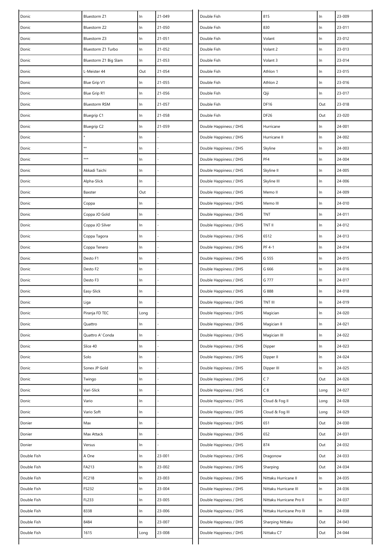| Donic       | Bluestorm Z1          | In    | $21 - 049$ | Double Fish            | 815                       | ln    | 23-009 |
|-------------|-----------------------|-------|------------|------------------------|---------------------------|-------|--------|
| Donic       | Bluestorm Z2          | In    | $21 - 050$ | Double Fish            | 830                       | $\ln$ | 23-011 |
| Donic       | Bluestorm Z3          | $\ln$ | 21-051     | Double Fish            | Volant                    | $\ln$ | 23-012 |
| Donic       | Bluestorm Z1 Turbo    | $\ln$ | 21-052     | Double Fish            | Volant 2                  | $\ln$ | 23-013 |
| Donic       | Bluestorm Z1 Big Slam | $\ln$ | 21-053     | Double Fish            | Volant 3                  | $\ln$ | 23-014 |
| Donic       | L-Meister 44          | Out   | 21-054     | Double Fish            | Athlon 1                  | ln    | 23-015 |
| Donic       | Blue Grip V1          | In    | 21-055     | Double Fish            | Athlon 2                  | ln    | 23-016 |
| Donic       | Blue Grip R1          | In    | 21-056     | Double Fish            | Qiji                      | ln    | 23-017 |
| Donic       | <b>Bluestorm RSM</b>  | In    | 21-057     | Double Fish            | <b>DF16</b>               | Out   | 23-018 |
| Donic       | <b>Bluegrip C1</b>    | In    | 21-058     | Double Fish            | <b>DF26</b>               | Out   | 23-020 |
| Donic       | <b>Bluegrip C2</b>    | In    | 21-059     | Double Happiness / DHS | Hurricane                 | $\ln$ | 24-001 |
| Donic       |                       | $\ln$ |            | Double Happiness / DHS | Hurricane II              | ln    | 24-002 |
| Donic       | **                    | In    |            | Double Happiness / DHS | Skyline                   | $\ln$ | 24-003 |
| Donic       | ***                   | In    |            | Double Happiness / DHS | PF4                       | $\ln$ | 24-004 |
| Donic       | Akkadi Taichi         | In    |            | Double Happiness / DHS | Skyline II                | ln    | 24-005 |
| Donic       | Alpha-Slick           | In    |            | Double Happiness / DHS | Skyline III               | $\ln$ | 24-006 |
| Donic       | Baxster               | Out   |            | Double Happiness / DHS | Memo II                   | ln    | 24-009 |
| Donic       | Coppa                 | In    |            | Double Happiness / DHS | Memo III                  | $\ln$ | 24-010 |
| Donic       | Coppa JO Gold         | $\ln$ |            | Double Happiness / DHS | <b>TNT</b>                | $\ln$ | 24-011 |
| Donic       | Coppa JO Silver       | In    |            | Double Happiness / DHS | TNT II                    | $\ln$ | 24-012 |
| Donic       | Coppa Tagora          | In    |            | Double Happiness / DHS | 6512                      | ln    | 24-013 |
| Donic       | Coppa Tenero          | In    |            | Double Happiness / DHS | PF 4-1                    | ln    | 24-014 |
| Donic       | Desto F1              | In    |            | Double Happiness / DHS | G 555                     | $\ln$ | 24-015 |
| Donic       | Desto F2              | In    |            | Double Happiness / DHS | G 666                     | $\ln$ | 24-016 |
| Donic       | Desto F3              | In    |            | Double Happiness / DHS | G 777                     | $\ln$ | 24-017 |
| Donic       | Easy-Slick            | In    |            | Double Happiness / DHS | G 888                     | $\ln$ | 24-018 |
| Donic       | Liga                  | In    |            | Double Happiness / DHS | TNT III                   | $\ln$ | 24-019 |
| Donic       | Piranja FD TEC        | Long  |            | Double Happiness / DHS | Magician                  | $\ln$ | 24-020 |
| Donic       | Quattro               | In    |            | Double Happiness / DHS | Magician II               | $\ln$ | 24-021 |
| Donic       | Quattro A' Conda      | In    |            | Double Happiness / DHS | Magician III              | $\ln$ | 24-022 |
| Donic       | Slice 40              | $\ln$ |            | Double Happiness / DHS | Dipper                    | $\ln$ | 24-023 |
| Donic       | Solo                  | In    |            | Double Happiness / DHS | Dipper II                 | $\ln$ | 24-024 |
| Donic       | Sonex JP Gold         | In    |            | Double Happiness / DHS | Dipper III                | $\ln$ | 24-025 |
| Donic       | Twingo                | In    |            | Double Happiness / DHS | C <sub>7</sub>            | Out   | 24-026 |
| Donic       | Vari-Slick            | In    |            | Double Happiness / DHS | C8                        | Long  | 24-027 |
| Donic       | Vario                 | $\ln$ |            | Double Happiness / DHS | Cloud & Fog II            | Long  | 24-028 |
| Donic       | Vario Soft            | In    |            | Double Happiness / DHS | Cloud & Fog III           | Long  | 24-029 |
| Donier      | Max                   | In    |            | Double Happiness / DHS | 651                       | Out   | 24-030 |
| Donier      | Max Attack            | In.   |            | Double Happiness / DHS | 652                       | Out   | 24-031 |
| Donier      | Versus                | In    |            | Double Happiness / DHS | 874                       | Out   | 24-032 |
| Double Fish | A One                 | $\ln$ | 23-001     | Double Happiness / DHS | Dragonow                  | Out   | 24-033 |
| Double Fish | FA213                 | $\ln$ | 23-002     | Double Happiness / DHS | Sharping                  | Out   | 24-034 |
| Double Fish | FC218                 | In    | 23-003     | Double Happiness / DHS | Nittaku Hurricane II      | $\ln$ | 24-035 |
| Double Fish | FS232                 | In    | 23-004     | Double Happiness / DHS | Nittaku Hurricane III     | ln    | 24-036 |
| Double Fish | FL233                 | In    | 23-005     | Double Happiness / DHS | Nittaku Hurricane Pro II  | ln    | 24-037 |
| Double Fish | 8338                  | In    | 23-006     | Double Happiness / DHS | Nittaku Hurricane Pro III | ln    | 24-038 |
| Double Fish | 8484                  | In    | 23-007     | Double Happiness / DHS | Sharping Nittaku          | Out   | 24-043 |
| Double Fish | 1615                  | Long  | 23-008     | Double Happiness / DHS | Nittaku C7                | Out   | 24-044 |
|             |                       |       |            |                        |                           |       |        |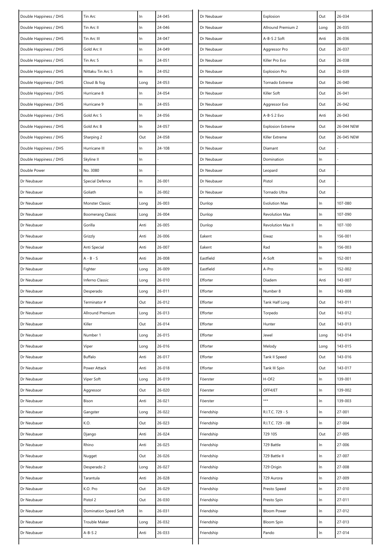| Double Happiness / DHS | Tin Arc                  | In   | 24-045 | Dr Neubauer | Explosion                | Out   | 26-034     |
|------------------------|--------------------------|------|--------|-------------|--------------------------|-------|------------|
| Double Happiness / DHS | Tin Arc II               | In   | 24-046 | Dr Neubauer | Allround Premium 2       | Long  | 26-035     |
| Double Happiness / DHS | Tin Arc III              | In   | 24-047 | Dr Neubauer | A-B-S 2 Soft             | Anti  | 26-036     |
| Double Happiness / DHS | Gold Arc II              | In   | 24-049 | Dr Neubauer | Aggressor Pro            | Out   | 26-037     |
| Double Happiness / DHS | Tin Arc 5                | In   | 24-051 | Dr Neubauer | Killer Pro Evo           | Out   | 26-038     |
| Double Happiness / DHS | Nittaku Tin Arc 5        | In   | 24-052 | Dr Neubauer | <b>Explosion Pro</b>     | Out   | 26-039     |
| Double Happiness / DHS | Cloud & fog              | Long | 24-053 | Dr Neubauer | Tornado Extreme          | Out   | 26-040     |
| Double Happiness / DHS | Hurricane 8              | In   | 24-054 | Dr Neubauer | Killer Soft              | Out   | 26-041     |
| Double Happiness / DHS | Hurricane 9              | In   | 24-055 | Dr Neubauer | Aggressor Evo            | Out   | 26-042     |
| Double Happiness / DHS | Gold Arc 5               | In   | 24-056 | Dr Neubauer | A-B-S 2 Evo              | Anti  | 26-043     |
| Double Happiness / DHS | Gold Arc 8               | In   | 24-057 | Dr Neubauer | <b>Explosion Extreme</b> | Out   | 26-044 NEW |
| Double Happiness / DHS | Sharping 2               | Out  | 24-058 | Dr Neubauer | Killer Extreme           | Out   | 26-045 NEW |
| Double Happiness / DHS | Hurricane III            | In   | 24-108 | Dr Neubauer | Diamant                  | Out   |            |
| Double Happiness / DHS | Skyline II               | In   |        | Dr Neubauer | Domination               | In    |            |
| Double Power           | No. 3080                 | In   |        | Dr Neubauer | Leopard                  | Out   |            |
| Dr Neubauer            | Special Defence          | In   | 26-001 | Dr Neubauer | Pistol                   | Out   |            |
| Dr Neubauer            | Goliath                  | In   | 26-002 | Dr Neubauer | Tornado Ultra            | Out   |            |
| Dr Neubauer            | Monster Classic          | Long | 26-003 | Dunlop      | <b>Evolution Max</b>     | $\ln$ | 107-080    |
| Dr Neubauer            | <b>Boomerang Classic</b> | Long | 26-004 | Dunlop      | <b>Revolution Max</b>    | $\ln$ | 107-090    |
| Dr Neubauer            | Gorilla                  | Anti | 26-005 | Dunlop      | Revolution Max II        | $\ln$ | 107-100    |
| Dr Neubauer            | Grizzly                  | Anti | 26-006 | Eakent      | Eiwaz                    | ln    | 156-001    |
| Dr Neubauer            | Anti Special             | Anti | 26-007 | Eakent      | Rad                      | $\ln$ | 156-003    |
| Dr Neubauer            | $A - B - S$              | Anti | 26-008 | Eastfield   | A-Soft                   | $\ln$ | 152-001    |
| Dr Neubauer            | Fighter                  | Long | 26-009 | Eastfield   | A-Pro                    | ln    | 152-002    |
| Dr Neubauer            | Inferno Classic          | Long | 26-010 | Efforter    | Diadem                   | Anti  | 143-007    |
| Dr Neubauer            | Desperado                | Long | 26-011 | Efforter    | Number 8                 | $\ln$ | 143-008    |
| Dr Neubauer            | Terminator #             | Out  | 26-012 | Efforter    | Tank Half Long           | Out   | 143-011    |
| Dr Neubauer            | Allround Premium         | Long | 26-013 | Efforter    | Torpedo                  | Out   | 143-012    |
| Dr Neubauer            | Killer                   | Out  | 26-014 | Efforter    | Hunter                   | Out   | 143-013    |
| Dr Neubauer            | Number 1                 | Long | 26-015 | Efforter    | Jewel                    | Long  | 143-014    |
| Dr Neubauer            | Viper                    | Long | 26-016 | Efforter    | Melody                   | Long  | 143-015    |
| Dr Neubauer            | Buffalo                  | Anti | 26-017 | Efforter    | Tank II Speed            | Out   | 143-016    |
| Dr Neubauer            | Power Attack             | Anti | 26-018 | Efforter    | Tank III Spin            | Out   | 143-017    |
| Dr Neubauer            | Viper Soft               | Long | 26-019 | Föerster    | H-OF2                    | $\ln$ | 139-001    |
| Dr Neubauer            | Aggressor                | Out  | 26-020 | Föerster    | OFF4JET                  | $\ln$ | 139-002    |
| Dr Neubauer            | Bison                    | Anti | 26-021 | Föerster    | ***                      | In    | 139-003    |
| Dr Neubauer            | Gangster                 | Long | 26-022 | Friendship  | R.I.T.C. 729 - 5         | $\ln$ | 27-001     |
| Dr Neubauer            | K.O.                     | Out  | 26-023 | Friendship  | R.I.T.C. 729 - 08        | $\ln$ | 27-004     |
| Dr Neubauer            | Django                   | Anti | 26-024 | Friendship  | 729 105                  | Out   | 27-005     |
| Dr Neubauer            | Rhino                    | Anti | 26-025 | Friendship  | 729 Battle               | $\ln$ | 27-006     |
| Dr Neubauer            | Nugget                   | Out  | 26-026 | Friendship  | 729 Battle II            | $\ln$ | 27-007     |
| Dr Neubauer            | Desperado 2              | Long | 26-027 | Friendship  | 729 Origin               | $\ln$ | 27-008     |
| Dr Neubauer            | Tarantula                | Anti | 26-028 | Friendship  | 729 Aurora               | $\ln$ | 27-009     |
| Dr Neubauer            | K.O. Pro                 | Out  | 26-029 | Friendship  | Presto Speed             | ln    | 27-010     |
| Dr Neubauer            | Pistol 2                 | Out  | 26-030 | Friendship  | Presto Spin              | $\ln$ | 27-011     |
| Dr Neubauer            | Domination Speed Soft    | In   | 26-031 | Friendship  | <b>Bloom Power</b>       | $\ln$ | 27-012     |
| Dr Neubauer            | Trouble Maker            | Long | 26-032 | Friendship  | <b>Bloom Spin</b>        | $\ln$ | 27-013     |
| Dr Neubauer            | $A-B-S2$                 | Anti | 26-033 | Friendship  | Pando                    | $\ln$ | 27-014     |
|                        |                          |      |        |             |                          |       |            |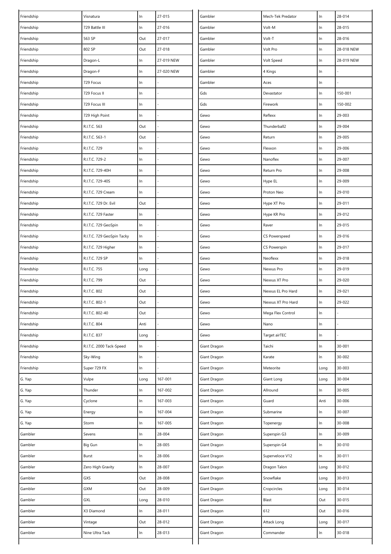| Friendship | Visnatura                  | In    | 27-015     | Gambler      | Mech-Tek Predator   | In    | 28-014     |
|------------|----------------------------|-------|------------|--------------|---------------------|-------|------------|
| Friendship | 729 Battle III             | In    | 27-016     | Gambler      | Volt-M              | ln    | 28-015     |
| Friendship | 563 SP                     | Out   | 27-017     | Gambler      | Volt-T              | ln    | 28-016     |
| Friendship | 802 SP                     | Out   | 27-018     | Gambler      | Volt Pro            | $\ln$ | 28-018 NEW |
| Friendship | Dragon-L                   | In    | 27-019 NEW | Gambler      | Volt Speed          | $\ln$ | 28-019 NEW |
| Friendship | Dragon-F                   | In    | 27-020 NEW | Gambler      | 4 Kings             | $\ln$ |            |
| Friendship | 729 Focus                  | In    |            | Gambler      | Aces                | ln    |            |
| Friendship | 729 Focus II               | In    |            | Gds          | Devastator          | $\ln$ | 150-001    |
| Friendship | 729 Focus III              | In    |            | Gds          | Firework            | $\ln$ | 150-002    |
| Friendship | 729 High Point             | In    |            | Gewo         | Reflexx             | ln    | 29-003     |
| Friendship | R.I.T.C. 563               | Out   |            | Gewo         | Thunderball2        | $\ln$ | 29-004     |
| Friendship | R.I.T.C. 563-1             | Out   |            | Gewo         | Return              | ln    | 29-005     |
| Friendship | R.I.T.C. 729               | In    |            | Gewo         | Flexxon             | In    | 29-006     |
| Friendship | R.I.T.C. 729-2             | In    |            | Gewo         | Nanoflex            | ln    | 29-007     |
| Friendship | R.I.T.C. 729-40H           | In    |            | Gewo         | Return Pro          | $\ln$ | 29-008     |
| Friendship | R.I.T.C. 729-40S           | In    |            | Gewo         | Hype EL             | $\ln$ | 29-009     |
| Friendship | R.I.T.C. 729 Cream         | In    |            | Gewo         | Proton Neo          | ln    | 29-010     |
| Friendship | R.I.T.C. 729 Dr. Evil      | Out   |            | Gewo         | Hype XT Pro         | $\ln$ | 29-011     |
| Friendship | R.I.T.C. 729 Faster        | In    |            | Gewo         | Hype KR Pro         | $\ln$ | 29-012     |
| Friendship | R.I.T.C. 729 GeoSpin       | In    |            | Gewo         | Raver               | $\ln$ | 29-015     |
| Friendship | R.I.T.C. 729 GeoSpin Tacky | $\ln$ |            | Gewo         | CS Powerspeed       | In    | 29-016     |
| Friendship | R.I.T.C. 729 Higher        | In    |            | Gewo         | <b>CS Powerspin</b> | In    | 29-017     |
| Friendship | R.I.T.C. 729 SP            | In    |            | Gewo         | Neoflexx            | ln    | 29-018     |
| Friendship | R.I.T.C. 755               | Long  |            | Gewo         | Nexxus Pro          | $\ln$ | 29-019     |
| Friendship | R.I.T.C. 799               | Out   |            | Gewo         | Nexxus XT Pro       | $\ln$ | 29-020     |
| Friendship | R.I.T.C. 802               | Out   |            | Gewo         | Nexxus EL Pro Hard  | $\ln$ | 29-021     |
| Friendship | R.I.T.C. 802-1             | Out   |            | Gewo         | Nexxus XT Pro Hard  | $\ln$ | 29-022     |
| Friendship | R.I.T.C. 802-40            | Out   |            | Gewo         | Mega Flex Control   | $\ln$ |            |
| Friendship | R.I.T.C. 804               | Anti  |            | Gewo         | Nano                | $\ln$ |            |
| Friendship | R.I.T.C. 837               | Long  |            | Gewo         | Target airTEC       | $\ln$ |            |
| Friendship | R.I.T.C. 2000 Tack-Speed   | $\ln$ |            | Giant Dragon | Taichi              | In    | 30-001     |
| Friendship | Sky-Wing                   | In    |            | Giant Dragon | Karate              | $\ln$ | 30-002     |
| Friendship | Super 729 FX               | In    |            | Giant Dragon | Meteorite           | Long  | 30-003     |
| G. Yap     | Vulpe                      | Long  | 167-001    | Giant Dragon | Giant Long          | Long  | 30-004     |
| G. Yap     | Thunder                    | $\ln$ | 167-002    | Giant Dragon | Allround            | In    | 30-005     |
| G. Yap     | Cyclone                    | $\ln$ | 167-003    | Giant Dragon | Guard               | Anti  | 30-006     |
| G. Yap     | Energy                     | $\ln$ | 167-004    | Giant Dragon | Submarine           | $\ln$ | 30-007     |
| G. Yap     | Storm                      | $\ln$ | 167-005    | Giant Dragon | Topenergy           | In    | 30-008     |
| Gambler    | Sevens                     | In    | 28-004     | Giant Dragon | Superspin G3        | $\ln$ | 30-009     |
| Gambler    | Big Gun                    | $\ln$ | 28-005     | Giant Dragon | Superspin G4        | $\ln$ | 30-010     |
| Gambler    | Burst                      | $\ln$ | 28-006     | Giant Dragon | Superveloce V12     | $\ln$ | 30-011     |
| Gambler    | Zero High Gravity          | $\ln$ | 28-007     | Giant Dragon | Dragon Talon        | Long  | 30-012     |
| Gambler    | GXS                        | Out   | 28-008     | Giant Dragon | Snowflake           | Long  | 30-013     |
| Gambler    | GXM                        | Out   | 28-009     | Giant Dragon | Cropcircles         | Long  | 30-014     |
| Gambler    | GXL                        | Long  | 28-010     | Giant Dragon | Blast               | Out   | 30-015     |
| Gambler    | X3 Diamond                 | In    | 28-011     | Giant Dragon | 612                 | Out   | 30-016     |
| Gambler    | Vintage                    | Out   | 28-012     | Giant Dragon | Attack Long         | Long  | 30-017     |
| Gambler    | Nine Ultra Tack            | In    | 28-013     | Giant Dragon | Commander           | $\ln$ | 30-018     |
|            |                            |       |            |              |                     |       |            |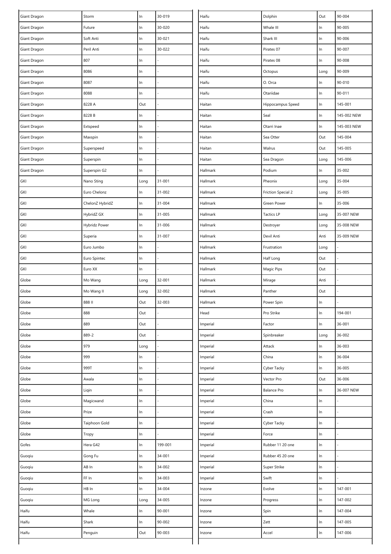| $\ln$<br>90-005<br>Giant Dragon<br>30-020<br>Haifu<br>Whale III<br>Future<br>In<br>30-021<br>Haifu<br>Shark III<br>$\ln$<br>90-006<br>Soft Anti<br>$\ln$<br>Giant Dragon<br>30-022<br>In<br>90-007<br>Peril Anti<br>$\ln$<br>Haifu<br>Pirates 07<br>Giant Dragon<br>In<br>Giant Dragon<br>807<br>$\ln$<br>Haifu<br>Pirates 08<br>90-008<br>8086<br>90-009<br>Giant Dragon<br>In<br>Haifu<br>Octopus<br>Long<br>90-010<br>8087<br>Haifu<br>O. Orca<br>ln<br>Giant Dragon<br>In<br>$\ln$<br>90-011<br>Giant Dragon<br>8088<br>Haifu<br>Otariidae<br>In<br>$\ln$<br>Giant Dragon<br>8228 A<br>Out<br>Haitan<br>Hippocampus Speed<br>145-001<br>$\ln$<br>145-002 NEW<br>Giant Dragon<br>8228 B<br>Seal<br>In<br>Haitan<br>$\ln$<br>145-003 NEW<br>Giant Dragon<br>Extspeed<br>In<br>Haitan<br>Otarri Inae<br>Out<br>$\ln$<br>Sea Otter<br>145-004<br>Giant Dragon<br>Maxspin<br>Haitan<br>Out<br>Giant Dragon<br>Haitan<br>Walrus<br>145-005<br>Superspeed<br>In<br>Giant Dragon<br>Superspin<br>Haitan<br>Sea Dragon<br>145-006<br>In<br>Long<br>$\ln$<br>35-002<br>Giant Dragon<br>Superspin G2<br>Podium<br>In<br>Hallmark<br>35-004<br>GKI<br>$31 - 001$<br>Nano Sting<br>Hallmark<br>Pheonix<br>Long<br>Long<br>GKI<br>Euro Chelonz<br>31-002<br>Hallmark<br><b>Friction Special 2</b><br>35-005<br>In<br>Long<br>In<br>35-006<br>GKI<br>ChelonZ HybridZ<br>31-004<br>Hallmark<br>Green Power<br>In<br>GKI<br>HybridZ GX<br>$\ln$<br>31-005<br><b>Tactics LP</b><br>35-007 NEW<br>Hallmark<br>Long<br>Hybridz Power<br>31-006<br>GKI<br>In<br>Hallmark<br>Destroyer<br>Long<br>35-008 NEW<br>GKI<br>31-007<br>Devil Anti<br>Anti<br>35-009 NEW<br>Superia<br>In<br>Hallmark<br>GKI<br>Euro Jumbo<br>$\ln$<br>Hallmark<br>Frustration<br>Long<br>GKI<br>Euro Spintec<br>Hallmark<br>Half Long<br>Out<br>In<br>GKI<br>Euro XX<br>Magic Pips<br>Out<br>Hallmark<br>In<br>32-001<br>Anti<br>Globe<br>Mo Wang<br>Hallmark<br>Long<br>Mirage<br>32-002<br>Out<br>Globe<br>Mo Wang II<br>Hallmark<br>Panther<br>Long<br>$\ln$<br>Globe<br>888 II<br>Out<br>32-003<br>Hallmark<br>Power Spin<br>888<br>$\ln$<br>194-001<br>Globe<br>Out<br>Head<br>Pro Strike<br>$\ln$<br>36-001<br>Globe<br>889<br>Out<br>Imperial<br>Factor<br>889-2<br>36-002<br>Out<br>Spinbreaker<br>Globe<br>Imperial<br>Long<br>979<br>In<br>36-003<br>Globe<br>Imperial<br>Attack<br>Long<br>999<br>China<br>$\ln$<br>36-004<br>Globe<br>Imperial<br>In<br>$\ln$<br>36-005<br>Globe<br>999T<br>Imperial<br>Cyber Tacky<br>In<br>Vector Pro<br>Out<br>36-006<br>Globe<br>Awala<br>In<br>Imperial<br>In<br>Globe<br>Imperial<br><b>Balance Pro</b><br>36-007 NEW<br>Liqin<br>In<br>Magicwand<br>China<br>In<br>Globe<br>$\ln$<br>Imperial<br>Crash<br>Globe<br>Prize<br>Imperial<br>$\ln$<br>In<br><b>Taiphoon Gold</b><br>In<br>Globe<br>Imperial<br>Cyber Tacky<br>In<br>$\ln$<br>Globe<br>Imperial<br>Force<br>Tropy<br>In<br>Hera G42<br>199-001<br>In<br>Gofes<br>$\ln$<br>Imperial<br>Rubber 11 20 one<br>$\ln$<br>34-001<br>Guoqiu<br>Gong Fu<br>$\ln$<br>Imperial<br>Rubber 45 20 one<br>In<br>Guoqiu<br>AB In<br>$\ln$<br>34-002<br>Super Strike<br>Imperial<br>Guoqiu<br>FF In<br>34-003<br>Swift<br>$\ln$<br>In<br>Imperial<br>Evolve<br>147-001<br>Guoqiu<br>HB In<br>34-004<br>ln<br>In<br>Inzone<br>34-005<br>$\ln$<br>147-002<br>Guoqiu<br>MG Long<br>Progress<br>Inzone<br>Long<br>$\ln$<br>147-004<br>Haifu<br>Whale<br>90-001<br>Spin<br>In<br>Inzone<br>In<br>147-005<br>Haifu<br>Shark<br>$\ln$<br>90-002<br>Zett<br>Inzone<br>In<br>Out<br>90-003<br>Haifu<br>Penguin<br>Accel<br>147-006<br>Inzone | Giant Dragon | Storm | In | 30-019 | Haifu | Dolphin | Out | 90-004 |
|-----------------------------------------------------------------------------------------------------------------------------------------------------------------------------------------------------------------------------------------------------------------------------------------------------------------------------------------------------------------------------------------------------------------------------------------------------------------------------------------------------------------------------------------------------------------------------------------------------------------------------------------------------------------------------------------------------------------------------------------------------------------------------------------------------------------------------------------------------------------------------------------------------------------------------------------------------------------------------------------------------------------------------------------------------------------------------------------------------------------------------------------------------------------------------------------------------------------------------------------------------------------------------------------------------------------------------------------------------------------------------------------------------------------------------------------------------------------------------------------------------------------------------------------------------------------------------------------------------------------------------------------------------------------------------------------------------------------------------------------------------------------------------------------------------------------------------------------------------------------------------------------------------------------------------------------------------------------------------------------------------------------------------------------------------------------------------------------------------------------------------------------------------------------------------------------------------------------------------------------------------------------------------------------------------------------------------------------------------------------------------------------------------------------------------------------------------------------------------------------------------------------------------------------------------------------------------------------------------------------------------------------------------------------------------------------------------------------------------------------------------------------------------------------------------------------------------------------------------------------------------------------------------------------------------------------------------------------------------------------------------------------------------------------------------------------------------------------------------------------------------------------------------------------------------------------------------------------------------------------------------------------------------------------------------------------------------------------------------------------------------------------------------------------------------------------------------------------------------------------------------------------------------------------------------------------------------------------|--------------|-------|----|--------|-------|---------|-----|--------|
|                                                                                                                                                                                                                                                                                                                                                                                                                                                                                                                                                                                                                                                                                                                                                                                                                                                                                                                                                                                                                                                                                                                                                                                                                                                                                                                                                                                                                                                                                                                                                                                                                                                                                                                                                                                                                                                                                                                                                                                                                                                                                                                                                                                                                                                                                                                                                                                                                                                                                                                                                                                                                                                                                                                                                                                                                                                                                                                                                                                                                                                                                                                                                                                                                                                                                                                                                                                                                                                                                                                                                                                         |              |       |    |        |       |         |     |        |
|                                                                                                                                                                                                                                                                                                                                                                                                                                                                                                                                                                                                                                                                                                                                                                                                                                                                                                                                                                                                                                                                                                                                                                                                                                                                                                                                                                                                                                                                                                                                                                                                                                                                                                                                                                                                                                                                                                                                                                                                                                                                                                                                                                                                                                                                                                                                                                                                                                                                                                                                                                                                                                                                                                                                                                                                                                                                                                                                                                                                                                                                                                                                                                                                                                                                                                                                                                                                                                                                                                                                                                                         |              |       |    |        |       |         |     |        |
|                                                                                                                                                                                                                                                                                                                                                                                                                                                                                                                                                                                                                                                                                                                                                                                                                                                                                                                                                                                                                                                                                                                                                                                                                                                                                                                                                                                                                                                                                                                                                                                                                                                                                                                                                                                                                                                                                                                                                                                                                                                                                                                                                                                                                                                                                                                                                                                                                                                                                                                                                                                                                                                                                                                                                                                                                                                                                                                                                                                                                                                                                                                                                                                                                                                                                                                                                                                                                                                                                                                                                                                         |              |       |    |        |       |         |     |        |
|                                                                                                                                                                                                                                                                                                                                                                                                                                                                                                                                                                                                                                                                                                                                                                                                                                                                                                                                                                                                                                                                                                                                                                                                                                                                                                                                                                                                                                                                                                                                                                                                                                                                                                                                                                                                                                                                                                                                                                                                                                                                                                                                                                                                                                                                                                                                                                                                                                                                                                                                                                                                                                                                                                                                                                                                                                                                                                                                                                                                                                                                                                                                                                                                                                                                                                                                                                                                                                                                                                                                                                                         |              |       |    |        |       |         |     |        |
|                                                                                                                                                                                                                                                                                                                                                                                                                                                                                                                                                                                                                                                                                                                                                                                                                                                                                                                                                                                                                                                                                                                                                                                                                                                                                                                                                                                                                                                                                                                                                                                                                                                                                                                                                                                                                                                                                                                                                                                                                                                                                                                                                                                                                                                                                                                                                                                                                                                                                                                                                                                                                                                                                                                                                                                                                                                                                                                                                                                                                                                                                                                                                                                                                                                                                                                                                                                                                                                                                                                                                                                         |              |       |    |        |       |         |     |        |
|                                                                                                                                                                                                                                                                                                                                                                                                                                                                                                                                                                                                                                                                                                                                                                                                                                                                                                                                                                                                                                                                                                                                                                                                                                                                                                                                                                                                                                                                                                                                                                                                                                                                                                                                                                                                                                                                                                                                                                                                                                                                                                                                                                                                                                                                                                                                                                                                                                                                                                                                                                                                                                                                                                                                                                                                                                                                                                                                                                                                                                                                                                                                                                                                                                                                                                                                                                                                                                                                                                                                                                                         |              |       |    |        |       |         |     |        |
|                                                                                                                                                                                                                                                                                                                                                                                                                                                                                                                                                                                                                                                                                                                                                                                                                                                                                                                                                                                                                                                                                                                                                                                                                                                                                                                                                                                                                                                                                                                                                                                                                                                                                                                                                                                                                                                                                                                                                                                                                                                                                                                                                                                                                                                                                                                                                                                                                                                                                                                                                                                                                                                                                                                                                                                                                                                                                                                                                                                                                                                                                                                                                                                                                                                                                                                                                                                                                                                                                                                                                                                         |              |       |    |        |       |         |     |        |
|                                                                                                                                                                                                                                                                                                                                                                                                                                                                                                                                                                                                                                                                                                                                                                                                                                                                                                                                                                                                                                                                                                                                                                                                                                                                                                                                                                                                                                                                                                                                                                                                                                                                                                                                                                                                                                                                                                                                                                                                                                                                                                                                                                                                                                                                                                                                                                                                                                                                                                                                                                                                                                                                                                                                                                                                                                                                                                                                                                                                                                                                                                                                                                                                                                                                                                                                                                                                                                                                                                                                                                                         |              |       |    |        |       |         |     |        |
|                                                                                                                                                                                                                                                                                                                                                                                                                                                                                                                                                                                                                                                                                                                                                                                                                                                                                                                                                                                                                                                                                                                                                                                                                                                                                                                                                                                                                                                                                                                                                                                                                                                                                                                                                                                                                                                                                                                                                                                                                                                                                                                                                                                                                                                                                                                                                                                                                                                                                                                                                                                                                                                                                                                                                                                                                                                                                                                                                                                                                                                                                                                                                                                                                                                                                                                                                                                                                                                                                                                                                                                         |              |       |    |        |       |         |     |        |
|                                                                                                                                                                                                                                                                                                                                                                                                                                                                                                                                                                                                                                                                                                                                                                                                                                                                                                                                                                                                                                                                                                                                                                                                                                                                                                                                                                                                                                                                                                                                                                                                                                                                                                                                                                                                                                                                                                                                                                                                                                                                                                                                                                                                                                                                                                                                                                                                                                                                                                                                                                                                                                                                                                                                                                                                                                                                                                                                                                                                                                                                                                                                                                                                                                                                                                                                                                                                                                                                                                                                                                                         |              |       |    |        |       |         |     |        |
|                                                                                                                                                                                                                                                                                                                                                                                                                                                                                                                                                                                                                                                                                                                                                                                                                                                                                                                                                                                                                                                                                                                                                                                                                                                                                                                                                                                                                                                                                                                                                                                                                                                                                                                                                                                                                                                                                                                                                                                                                                                                                                                                                                                                                                                                                                                                                                                                                                                                                                                                                                                                                                                                                                                                                                                                                                                                                                                                                                                                                                                                                                                                                                                                                                                                                                                                                                                                                                                                                                                                                                                         |              |       |    |        |       |         |     |        |
|                                                                                                                                                                                                                                                                                                                                                                                                                                                                                                                                                                                                                                                                                                                                                                                                                                                                                                                                                                                                                                                                                                                                                                                                                                                                                                                                                                                                                                                                                                                                                                                                                                                                                                                                                                                                                                                                                                                                                                                                                                                                                                                                                                                                                                                                                                                                                                                                                                                                                                                                                                                                                                                                                                                                                                                                                                                                                                                                                                                                                                                                                                                                                                                                                                                                                                                                                                                                                                                                                                                                                                                         |              |       |    |        |       |         |     |        |
|                                                                                                                                                                                                                                                                                                                                                                                                                                                                                                                                                                                                                                                                                                                                                                                                                                                                                                                                                                                                                                                                                                                                                                                                                                                                                                                                                                                                                                                                                                                                                                                                                                                                                                                                                                                                                                                                                                                                                                                                                                                                                                                                                                                                                                                                                                                                                                                                                                                                                                                                                                                                                                                                                                                                                                                                                                                                                                                                                                                                                                                                                                                                                                                                                                                                                                                                                                                                                                                                                                                                                                                         |              |       |    |        |       |         |     |        |
|                                                                                                                                                                                                                                                                                                                                                                                                                                                                                                                                                                                                                                                                                                                                                                                                                                                                                                                                                                                                                                                                                                                                                                                                                                                                                                                                                                                                                                                                                                                                                                                                                                                                                                                                                                                                                                                                                                                                                                                                                                                                                                                                                                                                                                                                                                                                                                                                                                                                                                                                                                                                                                                                                                                                                                                                                                                                                                                                                                                                                                                                                                                                                                                                                                                                                                                                                                                                                                                                                                                                                                                         |              |       |    |        |       |         |     |        |
|                                                                                                                                                                                                                                                                                                                                                                                                                                                                                                                                                                                                                                                                                                                                                                                                                                                                                                                                                                                                                                                                                                                                                                                                                                                                                                                                                                                                                                                                                                                                                                                                                                                                                                                                                                                                                                                                                                                                                                                                                                                                                                                                                                                                                                                                                                                                                                                                                                                                                                                                                                                                                                                                                                                                                                                                                                                                                                                                                                                                                                                                                                                                                                                                                                                                                                                                                                                                                                                                                                                                                                                         |              |       |    |        |       |         |     |        |
|                                                                                                                                                                                                                                                                                                                                                                                                                                                                                                                                                                                                                                                                                                                                                                                                                                                                                                                                                                                                                                                                                                                                                                                                                                                                                                                                                                                                                                                                                                                                                                                                                                                                                                                                                                                                                                                                                                                                                                                                                                                                                                                                                                                                                                                                                                                                                                                                                                                                                                                                                                                                                                                                                                                                                                                                                                                                                                                                                                                                                                                                                                                                                                                                                                                                                                                                                                                                                                                                                                                                                                                         |              |       |    |        |       |         |     |        |
|                                                                                                                                                                                                                                                                                                                                                                                                                                                                                                                                                                                                                                                                                                                                                                                                                                                                                                                                                                                                                                                                                                                                                                                                                                                                                                                                                                                                                                                                                                                                                                                                                                                                                                                                                                                                                                                                                                                                                                                                                                                                                                                                                                                                                                                                                                                                                                                                                                                                                                                                                                                                                                                                                                                                                                                                                                                                                                                                                                                                                                                                                                                                                                                                                                                                                                                                                                                                                                                                                                                                                                                         |              |       |    |        |       |         |     |        |
|                                                                                                                                                                                                                                                                                                                                                                                                                                                                                                                                                                                                                                                                                                                                                                                                                                                                                                                                                                                                                                                                                                                                                                                                                                                                                                                                                                                                                                                                                                                                                                                                                                                                                                                                                                                                                                                                                                                                                                                                                                                                                                                                                                                                                                                                                                                                                                                                                                                                                                                                                                                                                                                                                                                                                                                                                                                                                                                                                                                                                                                                                                                                                                                                                                                                                                                                                                                                                                                                                                                                                                                         |              |       |    |        |       |         |     |        |
|                                                                                                                                                                                                                                                                                                                                                                                                                                                                                                                                                                                                                                                                                                                                                                                                                                                                                                                                                                                                                                                                                                                                                                                                                                                                                                                                                                                                                                                                                                                                                                                                                                                                                                                                                                                                                                                                                                                                                                                                                                                                                                                                                                                                                                                                                                                                                                                                                                                                                                                                                                                                                                                                                                                                                                                                                                                                                                                                                                                                                                                                                                                                                                                                                                                                                                                                                                                                                                                                                                                                                                                         |              |       |    |        |       |         |     |        |
|                                                                                                                                                                                                                                                                                                                                                                                                                                                                                                                                                                                                                                                                                                                                                                                                                                                                                                                                                                                                                                                                                                                                                                                                                                                                                                                                                                                                                                                                                                                                                                                                                                                                                                                                                                                                                                                                                                                                                                                                                                                                                                                                                                                                                                                                                                                                                                                                                                                                                                                                                                                                                                                                                                                                                                                                                                                                                                                                                                                                                                                                                                                                                                                                                                                                                                                                                                                                                                                                                                                                                                                         |              |       |    |        |       |         |     |        |
|                                                                                                                                                                                                                                                                                                                                                                                                                                                                                                                                                                                                                                                                                                                                                                                                                                                                                                                                                                                                                                                                                                                                                                                                                                                                                                                                                                                                                                                                                                                                                                                                                                                                                                                                                                                                                                                                                                                                                                                                                                                                                                                                                                                                                                                                                                                                                                                                                                                                                                                                                                                                                                                                                                                                                                                                                                                                                                                                                                                                                                                                                                                                                                                                                                                                                                                                                                                                                                                                                                                                                                                         |              |       |    |        |       |         |     |        |
|                                                                                                                                                                                                                                                                                                                                                                                                                                                                                                                                                                                                                                                                                                                                                                                                                                                                                                                                                                                                                                                                                                                                                                                                                                                                                                                                                                                                                                                                                                                                                                                                                                                                                                                                                                                                                                                                                                                                                                                                                                                                                                                                                                                                                                                                                                                                                                                                                                                                                                                                                                                                                                                                                                                                                                                                                                                                                                                                                                                                                                                                                                                                                                                                                                                                                                                                                                                                                                                                                                                                                                                         |              |       |    |        |       |         |     |        |
|                                                                                                                                                                                                                                                                                                                                                                                                                                                                                                                                                                                                                                                                                                                                                                                                                                                                                                                                                                                                                                                                                                                                                                                                                                                                                                                                                                                                                                                                                                                                                                                                                                                                                                                                                                                                                                                                                                                                                                                                                                                                                                                                                                                                                                                                                                                                                                                                                                                                                                                                                                                                                                                                                                                                                                                                                                                                                                                                                                                                                                                                                                                                                                                                                                                                                                                                                                                                                                                                                                                                                                                         |              |       |    |        |       |         |     |        |
|                                                                                                                                                                                                                                                                                                                                                                                                                                                                                                                                                                                                                                                                                                                                                                                                                                                                                                                                                                                                                                                                                                                                                                                                                                                                                                                                                                                                                                                                                                                                                                                                                                                                                                                                                                                                                                                                                                                                                                                                                                                                                                                                                                                                                                                                                                                                                                                                                                                                                                                                                                                                                                                                                                                                                                                                                                                                                                                                                                                                                                                                                                                                                                                                                                                                                                                                                                                                                                                                                                                                                                                         |              |       |    |        |       |         |     |        |
|                                                                                                                                                                                                                                                                                                                                                                                                                                                                                                                                                                                                                                                                                                                                                                                                                                                                                                                                                                                                                                                                                                                                                                                                                                                                                                                                                                                                                                                                                                                                                                                                                                                                                                                                                                                                                                                                                                                                                                                                                                                                                                                                                                                                                                                                                                                                                                                                                                                                                                                                                                                                                                                                                                                                                                                                                                                                                                                                                                                                                                                                                                                                                                                                                                                                                                                                                                                                                                                                                                                                                                                         |              |       |    |        |       |         |     |        |
|                                                                                                                                                                                                                                                                                                                                                                                                                                                                                                                                                                                                                                                                                                                                                                                                                                                                                                                                                                                                                                                                                                                                                                                                                                                                                                                                                                                                                                                                                                                                                                                                                                                                                                                                                                                                                                                                                                                                                                                                                                                                                                                                                                                                                                                                                                                                                                                                                                                                                                                                                                                                                                                                                                                                                                                                                                                                                                                                                                                                                                                                                                                                                                                                                                                                                                                                                                                                                                                                                                                                                                                         |              |       |    |        |       |         |     |        |
|                                                                                                                                                                                                                                                                                                                                                                                                                                                                                                                                                                                                                                                                                                                                                                                                                                                                                                                                                                                                                                                                                                                                                                                                                                                                                                                                                                                                                                                                                                                                                                                                                                                                                                                                                                                                                                                                                                                                                                                                                                                                                                                                                                                                                                                                                                                                                                                                                                                                                                                                                                                                                                                                                                                                                                                                                                                                                                                                                                                                                                                                                                                                                                                                                                                                                                                                                                                                                                                                                                                                                                                         |              |       |    |        |       |         |     |        |
|                                                                                                                                                                                                                                                                                                                                                                                                                                                                                                                                                                                                                                                                                                                                                                                                                                                                                                                                                                                                                                                                                                                                                                                                                                                                                                                                                                                                                                                                                                                                                                                                                                                                                                                                                                                                                                                                                                                                                                                                                                                                                                                                                                                                                                                                                                                                                                                                                                                                                                                                                                                                                                                                                                                                                                                                                                                                                                                                                                                                                                                                                                                                                                                                                                                                                                                                                                                                                                                                                                                                                                                         |              |       |    |        |       |         |     |        |
|                                                                                                                                                                                                                                                                                                                                                                                                                                                                                                                                                                                                                                                                                                                                                                                                                                                                                                                                                                                                                                                                                                                                                                                                                                                                                                                                                                                                                                                                                                                                                                                                                                                                                                                                                                                                                                                                                                                                                                                                                                                                                                                                                                                                                                                                                                                                                                                                                                                                                                                                                                                                                                                                                                                                                                                                                                                                                                                                                                                                                                                                                                                                                                                                                                                                                                                                                                                                                                                                                                                                                                                         |              |       |    |        |       |         |     |        |
|                                                                                                                                                                                                                                                                                                                                                                                                                                                                                                                                                                                                                                                                                                                                                                                                                                                                                                                                                                                                                                                                                                                                                                                                                                                                                                                                                                                                                                                                                                                                                                                                                                                                                                                                                                                                                                                                                                                                                                                                                                                                                                                                                                                                                                                                                                                                                                                                                                                                                                                                                                                                                                                                                                                                                                                                                                                                                                                                                                                                                                                                                                                                                                                                                                                                                                                                                                                                                                                                                                                                                                                         |              |       |    |        |       |         |     |        |
|                                                                                                                                                                                                                                                                                                                                                                                                                                                                                                                                                                                                                                                                                                                                                                                                                                                                                                                                                                                                                                                                                                                                                                                                                                                                                                                                                                                                                                                                                                                                                                                                                                                                                                                                                                                                                                                                                                                                                                                                                                                                                                                                                                                                                                                                                                                                                                                                                                                                                                                                                                                                                                                                                                                                                                                                                                                                                                                                                                                                                                                                                                                                                                                                                                                                                                                                                                                                                                                                                                                                                                                         |              |       |    |        |       |         |     |        |
|                                                                                                                                                                                                                                                                                                                                                                                                                                                                                                                                                                                                                                                                                                                                                                                                                                                                                                                                                                                                                                                                                                                                                                                                                                                                                                                                                                                                                                                                                                                                                                                                                                                                                                                                                                                                                                                                                                                                                                                                                                                                                                                                                                                                                                                                                                                                                                                                                                                                                                                                                                                                                                                                                                                                                                                                                                                                                                                                                                                                                                                                                                                                                                                                                                                                                                                                                                                                                                                                                                                                                                                         |              |       |    |        |       |         |     |        |
|                                                                                                                                                                                                                                                                                                                                                                                                                                                                                                                                                                                                                                                                                                                                                                                                                                                                                                                                                                                                                                                                                                                                                                                                                                                                                                                                                                                                                                                                                                                                                                                                                                                                                                                                                                                                                                                                                                                                                                                                                                                                                                                                                                                                                                                                                                                                                                                                                                                                                                                                                                                                                                                                                                                                                                                                                                                                                                                                                                                                                                                                                                                                                                                                                                                                                                                                                                                                                                                                                                                                                                                         |              |       |    |        |       |         |     |        |
|                                                                                                                                                                                                                                                                                                                                                                                                                                                                                                                                                                                                                                                                                                                                                                                                                                                                                                                                                                                                                                                                                                                                                                                                                                                                                                                                                                                                                                                                                                                                                                                                                                                                                                                                                                                                                                                                                                                                                                                                                                                                                                                                                                                                                                                                                                                                                                                                                                                                                                                                                                                                                                                                                                                                                                                                                                                                                                                                                                                                                                                                                                                                                                                                                                                                                                                                                                                                                                                                                                                                                                                         |              |       |    |        |       |         |     |        |
|                                                                                                                                                                                                                                                                                                                                                                                                                                                                                                                                                                                                                                                                                                                                                                                                                                                                                                                                                                                                                                                                                                                                                                                                                                                                                                                                                                                                                                                                                                                                                                                                                                                                                                                                                                                                                                                                                                                                                                                                                                                                                                                                                                                                                                                                                                                                                                                                                                                                                                                                                                                                                                                                                                                                                                                                                                                                                                                                                                                                                                                                                                                                                                                                                                                                                                                                                                                                                                                                                                                                                                                         |              |       |    |        |       |         |     |        |
|                                                                                                                                                                                                                                                                                                                                                                                                                                                                                                                                                                                                                                                                                                                                                                                                                                                                                                                                                                                                                                                                                                                                                                                                                                                                                                                                                                                                                                                                                                                                                                                                                                                                                                                                                                                                                                                                                                                                                                                                                                                                                                                                                                                                                                                                                                                                                                                                                                                                                                                                                                                                                                                                                                                                                                                                                                                                                                                                                                                                                                                                                                                                                                                                                                                                                                                                                                                                                                                                                                                                                                                         |              |       |    |        |       |         |     |        |
|                                                                                                                                                                                                                                                                                                                                                                                                                                                                                                                                                                                                                                                                                                                                                                                                                                                                                                                                                                                                                                                                                                                                                                                                                                                                                                                                                                                                                                                                                                                                                                                                                                                                                                                                                                                                                                                                                                                                                                                                                                                                                                                                                                                                                                                                                                                                                                                                                                                                                                                                                                                                                                                                                                                                                                                                                                                                                                                                                                                                                                                                                                                                                                                                                                                                                                                                                                                                                                                                                                                                                                                         |              |       |    |        |       |         |     |        |
|                                                                                                                                                                                                                                                                                                                                                                                                                                                                                                                                                                                                                                                                                                                                                                                                                                                                                                                                                                                                                                                                                                                                                                                                                                                                                                                                                                                                                                                                                                                                                                                                                                                                                                                                                                                                                                                                                                                                                                                                                                                                                                                                                                                                                                                                                                                                                                                                                                                                                                                                                                                                                                                                                                                                                                                                                                                                                                                                                                                                                                                                                                                                                                                                                                                                                                                                                                                                                                                                                                                                                                                         |              |       |    |        |       |         |     |        |
|                                                                                                                                                                                                                                                                                                                                                                                                                                                                                                                                                                                                                                                                                                                                                                                                                                                                                                                                                                                                                                                                                                                                                                                                                                                                                                                                                                                                                                                                                                                                                                                                                                                                                                                                                                                                                                                                                                                                                                                                                                                                                                                                                                                                                                                                                                                                                                                                                                                                                                                                                                                                                                                                                                                                                                                                                                                                                                                                                                                                                                                                                                                                                                                                                                                                                                                                                                                                                                                                                                                                                                                         |              |       |    |        |       |         |     |        |
|                                                                                                                                                                                                                                                                                                                                                                                                                                                                                                                                                                                                                                                                                                                                                                                                                                                                                                                                                                                                                                                                                                                                                                                                                                                                                                                                                                                                                                                                                                                                                                                                                                                                                                                                                                                                                                                                                                                                                                                                                                                                                                                                                                                                                                                                                                                                                                                                                                                                                                                                                                                                                                                                                                                                                                                                                                                                                                                                                                                                                                                                                                                                                                                                                                                                                                                                                                                                                                                                                                                                                                                         |              |       |    |        |       |         |     |        |
|                                                                                                                                                                                                                                                                                                                                                                                                                                                                                                                                                                                                                                                                                                                                                                                                                                                                                                                                                                                                                                                                                                                                                                                                                                                                                                                                                                                                                                                                                                                                                                                                                                                                                                                                                                                                                                                                                                                                                                                                                                                                                                                                                                                                                                                                                                                                                                                                                                                                                                                                                                                                                                                                                                                                                                                                                                                                                                                                                                                                                                                                                                                                                                                                                                                                                                                                                                                                                                                                                                                                                                                         |              |       |    |        |       |         |     |        |
|                                                                                                                                                                                                                                                                                                                                                                                                                                                                                                                                                                                                                                                                                                                                                                                                                                                                                                                                                                                                                                                                                                                                                                                                                                                                                                                                                                                                                                                                                                                                                                                                                                                                                                                                                                                                                                                                                                                                                                                                                                                                                                                                                                                                                                                                                                                                                                                                                                                                                                                                                                                                                                                                                                                                                                                                                                                                                                                                                                                                                                                                                                                                                                                                                                                                                                                                                                                                                                                                                                                                                                                         |              |       |    |        |       |         |     |        |
|                                                                                                                                                                                                                                                                                                                                                                                                                                                                                                                                                                                                                                                                                                                                                                                                                                                                                                                                                                                                                                                                                                                                                                                                                                                                                                                                                                                                                                                                                                                                                                                                                                                                                                                                                                                                                                                                                                                                                                                                                                                                                                                                                                                                                                                                                                                                                                                                                                                                                                                                                                                                                                                                                                                                                                                                                                                                                                                                                                                                                                                                                                                                                                                                                                                                                                                                                                                                                                                                                                                                                                                         |              |       |    |        |       |         |     |        |
|                                                                                                                                                                                                                                                                                                                                                                                                                                                                                                                                                                                                                                                                                                                                                                                                                                                                                                                                                                                                                                                                                                                                                                                                                                                                                                                                                                                                                                                                                                                                                                                                                                                                                                                                                                                                                                                                                                                                                                                                                                                                                                                                                                                                                                                                                                                                                                                                                                                                                                                                                                                                                                                                                                                                                                                                                                                                                                                                                                                                                                                                                                                                                                                                                                                                                                                                                                                                                                                                                                                                                                                         |              |       |    |        |       |         |     |        |
|                                                                                                                                                                                                                                                                                                                                                                                                                                                                                                                                                                                                                                                                                                                                                                                                                                                                                                                                                                                                                                                                                                                                                                                                                                                                                                                                                                                                                                                                                                                                                                                                                                                                                                                                                                                                                                                                                                                                                                                                                                                                                                                                                                                                                                                                                                                                                                                                                                                                                                                                                                                                                                                                                                                                                                                                                                                                                                                                                                                                                                                                                                                                                                                                                                                                                                                                                                                                                                                                                                                                                                                         |              |       |    |        |       |         |     |        |
|                                                                                                                                                                                                                                                                                                                                                                                                                                                                                                                                                                                                                                                                                                                                                                                                                                                                                                                                                                                                                                                                                                                                                                                                                                                                                                                                                                                                                                                                                                                                                                                                                                                                                                                                                                                                                                                                                                                                                                                                                                                                                                                                                                                                                                                                                                                                                                                                                                                                                                                                                                                                                                                                                                                                                                                                                                                                                                                                                                                                                                                                                                                                                                                                                                                                                                                                                                                                                                                                                                                                                                                         |              |       |    |        |       |         |     |        |
|                                                                                                                                                                                                                                                                                                                                                                                                                                                                                                                                                                                                                                                                                                                                                                                                                                                                                                                                                                                                                                                                                                                                                                                                                                                                                                                                                                                                                                                                                                                                                                                                                                                                                                                                                                                                                                                                                                                                                                                                                                                                                                                                                                                                                                                                                                                                                                                                                                                                                                                                                                                                                                                                                                                                                                                                                                                                                                                                                                                                                                                                                                                                                                                                                                                                                                                                                                                                                                                                                                                                                                                         |              |       |    |        |       |         |     |        |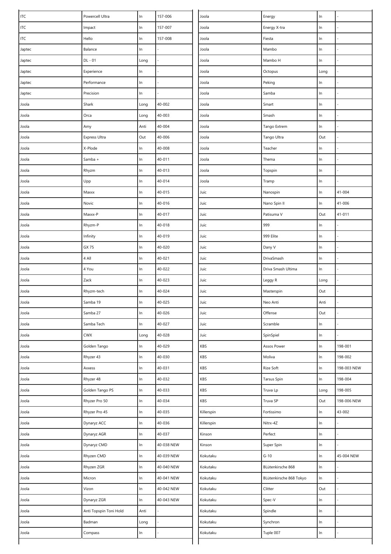| <b>ITC</b> | Powercell Ultra        | $\ln$ | 157-006    | Joola      | Energy                  | $\ln$ |             |
|------------|------------------------|-------|------------|------------|-------------------------|-------|-------------|
| <b>ITC</b> | Impact                 | $\ln$ | 157-007    | Joola      | Energy X-tra            | ln    |             |
| <b>ITC</b> | Hello                  | $\ln$ | 157-008    | Joola      | Fiesta                  | $\ln$ |             |
| Japtec     | Balance                | In    |            | Joola      | Mambo                   | In    |             |
| Japtec     | DL - 01                | Long  |            | Joola      | Mambo H                 | In    |             |
| Japtec     | Experience             | In    |            | Joola      | Octopus                 | Long  |             |
| Japtec     | Performance            | $\ln$ |            | Joola      | Peking                  | $\ln$ |             |
| Japtec     | Precision              | In    |            | Joola      | Samba                   | In    |             |
| Joola      | Shark                  | Long  | 40-002     | Joola      | Smart                   | In    |             |
| Joola      | Orca                   | Long  | 40-003     | Joola      | Smash                   | ln    |             |
| Joola      | Amy                    | Anti  | 40-004     | Joola      | Tango Extrem            | $\ln$ |             |
| Joola      | Express Ultra          | Out   | 40-006     | Joola      | Tango Ultra             | Out   |             |
| Joola      | X-Plode                | In    | 40-008     | Joola      | Teacher                 | $\ln$ |             |
| Joola      | Samba +                | $\ln$ | 40-011     | Joola      | Thema                   | In    |             |
| Joola      | Rhyzm                  | In    | 40-013     | Joola      | Topspin                 | $\ln$ |             |
| Joola      | Upp                    | $\ln$ | 40-014     | Joola      | Tramp                   | $\ln$ |             |
| Joola      | Maxxx                  | $\ln$ | 40-015     | Juic       | Nanospin                | In    | 41-004      |
| Joola      | Novic                  | $\ln$ | 40-016     | Juic       | Nano Spin II            | $\ln$ | 41-006      |
| Joola      | Maxxx-P                | $\ln$ | 40-017     | Juic       | Patisuma V              | Out   | $41 - 011$  |
| Joola      | Rhyzm-P                | In    | 40-018     | Juic       | 999                     | In    |             |
| Joola      | Infinity               | $\ln$ | 40-019     | Juic       | 999 Elite               | $\ln$ |             |
| Joola      | GX 75                  | $\ln$ | 40-020     | Juic       | Dany V                  | In    |             |
| Joola      | 4 All                  | $\ln$ | 40-021     | Juic       | DrivaSmash              | In    |             |
| Joola      | 4 You                  | In    | 40-022     | Juic       | Driva Smash Ultima      | In    |             |
| Joola      | Zack                   | In    | 40-023     | Juic       | Leggy R                 | Long  |             |
| Joola      | Rhyzm-tech             | In    | 40-024     | Juic       | Masterspin              | Out   |             |
| Joola      | Samba 19               | In    | 40-025     | Juic       | Neo Anti                | Anti  |             |
| Joola      | Samba 27               | $\ln$ | 40-026     | Juic       | Offense                 | Out   |             |
| Joola      | Samba Tech             | In    | 40-027     | Juic       | Scramble                | In    |             |
| Joola      | <b>CWX</b>             | Long  | 40-028     | Juic       | SpinSpiel               | $\ln$ |             |
| Joola      | Golden Tango           | $\ln$ | 40-029     | KBS        | Assos Power             | $\ln$ | 198-001     |
| Joola      | Rhyzer 43              | $\ln$ | 40-030     | KBS        | Moliva                  | $\ln$ | 198-002     |
| Joola      | Axxess                 | $\ln$ | 40-031     | KBS        | Rize Soft               | $\ln$ | 198-003 NEW |
| Joola      | Rhyzer 48              | In    | 40-032     | KBS        | Tarsus Spin             | In    | 198-004     |
| Joola      | Golden Tango PS        | $\ln$ | 40-033     | KBS        | Truva Lp                | Long  | 198-005     |
| Joola      | Rhyzer Pro 50          | In    | 40-034     | KBS        | Truva SP                | Out   | 198-006 NEW |
| Joola      | Rhyzer Pro 45          | $\ln$ | 40-035     | Killerspin | Fortissimo              | $\ln$ | 43-002      |
| Joola      | Dynaryz ACC            | $\ln$ | 40-036     | Killerspin | Nitrx-4Z                | In    |             |
| Joola      | Dynaryz AGR            | $\ln$ | 40-037     | Kinson     | Perfect                 | ln    |             |
| Joola      | Dynaryz CMD            | $\ln$ | 40-038 NEW | Kinson     | Super Spin              | In    |             |
| Joola      | Rhyzen CMD             | In    | 40-039 NEW | Kokutaku   | $G-10$                  | $\ln$ | 45-004 NEW  |
| Joola      | Rhyzen ZGR             | $\ln$ | 40-040 NEW | Kokutaku   | BLütenkirsche 868       | $\ln$ |             |
| Joola      | Micron                 | In    | 40-041 NEW | Kokutaku   | BLütenkirsche 868 Tokyo | $\ln$ |             |
| Joola      | Vizon                  | $\ln$ | 40-042 NEW | Kokutaku   | Clitter                 | Out   |             |
| Joola      | Dynaryz ZGR            | $\ln$ | 40-043 NEW | Kokutaku   | Spec-V                  | In    |             |
| Joola      | Anti Topspin Toni Hold | Anti  |            | Kokutaku   | Spindle                 | $\ln$ |             |
| Joola      | Badman                 | Long  |            | Kokutaku   | Synchron                | $\ln$ |             |
| Joola      | Compass                | In    |            | Kokutaku   | Tuple 007               | In    |             |
|            |                        |       |            |            |                         |       |             |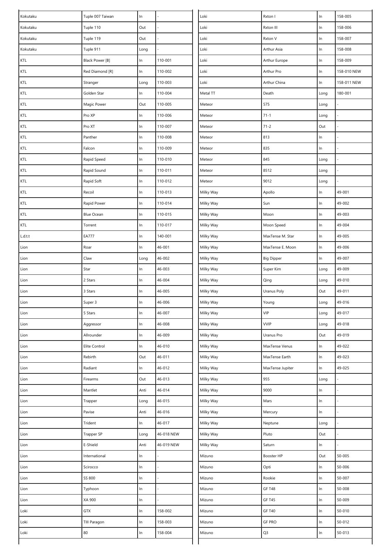| Kokutaku | Tuple 007 Taiwan  | $\ln$ |            | Loki      | Rxton I           | $\ln$ | 158-005     |
|----------|-------------------|-------|------------|-----------|-------------------|-------|-------------|
| Kokutaku | Tuple 110         | Out   |            | Loki      | Rxton III         | $\ln$ | 158-006     |
| Kokutaku | Tuple 119         | Out   |            | Loki      | Rxton V           | $\ln$ | 158-007     |
| Kokutaku | Tuple 911         | Long  |            | Loki      | Arthur Asia       | $\ln$ | 158-008     |
| KTL      | Black Power [B]   | $\ln$ | 110-001    | Loki      | Arthur Europe     | $\ln$ | 158-009     |
| KTL      | Red Diamond [R]   | $\ln$ | 110-002    | Loki      | Arthur Pro        | $\ln$ | 158-010 NEW |
| KTL      | Stranger          | Long  | 110-003    | Loki      | Arthur China      | $\ln$ | 158-011 NEW |
| KTL      | Golden Star       | $\ln$ | 110-004    | Metal TT  | Death             | Long  | 180-001     |
| KTL      | Magic Power       | Out   | 110-005    | Meteor    | 575               | Long  |             |
| KTL      | Pro XP            | In    | 110-006    | Meteor    | $71 - 1$          | Long  |             |
| KTL      | Pro XT            | In    | 110-007    | Meteor    | $71 - 2$          | Out   |             |
| KTL      | Panther           | $\ln$ | 110-008    | Meteor    | 813               | $\ln$ |             |
| KTL      | Falcon            | $\ln$ | 110-009    | Meteor    | 835               | $\ln$ |             |
| KTL      | Rapid Speed       | $\ln$ | 110-010    | Meteor    | 845               | Long  |             |
| KTL      | Rapid Sound       | ln    | 110-011    | Meteor    | 8512              | Long  |             |
| KTL      | Rapid Soft        | ln    | 110-012    | Meteor    | 9012              | Long  |             |
| KTL      | Recoil            | ln    | 110-013    | Milky Way | Apollo            | $\ln$ | 49-001      |
| KTL      | Rapid Power       | $\ln$ | 110-014    | Milky Way | Sun               | $\ln$ | 49-002      |
| KTL      | <b>Blue Ocean</b> | $\ln$ | 110-015    | Milky Way | Moon              | $\ln$ | 49-003      |
| KTL      | Torrent           | $\ln$ | 110-017    | Milky Way | Moon Speed        | $\ln$ | 49-004      |
| L.d.t.t  | <b>EA777</b>      | $\ln$ | 140-001    | Milky Way | MaxTense M. Star  | $\ln$ | 49-005      |
| Lion     | Roar              | $\ln$ | 46-001     | Milky Way | MaxTense E. Moon  | $\ln$ | 49-006      |
| Lion     | Claw              | Long  | 46-002     | Milky Way | <b>Big Dipper</b> | $\ln$ | 49-007      |
| Lion     | Star              | $\ln$ | 46-003     | Milky Way | Super Kim         | Long  | 49-009      |
| Lion     | 2 Stars           | In    | 46-004     | Milky Way | Qing              | Long  | 49-010      |
| Lion     | 3 Stars           | $\ln$ | 46-005     | Milky Way | Uranus Poly       | Out   | 49-011      |
| Lion     | Super 3           | $\ln$ | 46-006     | Milky Way | Young             | Long  | 49-016      |
| Lion     | 5 Stars           | $\ln$ | 46-007     | Milky Way | VIP               | Long  | 49-017      |
| Lion     | Aggressor         | In    | 46-008     | Milky Way | <b>VVIP</b>       | Long  | 49-018      |
| Lion     | Allrounder        | ln    | 46-009     | Milky Way | Uranus Pro        | Out   | 49-019      |
| Lion     | Elite Control     | $\ln$ | 46-010     | Milky Way | MaxTense Venus    | $\ln$ | 49-022      |
| Lion     | Rebirth           | Out   | 46-011     | Milky Way | MaxTense Earth    | $\ln$ | 49-023      |
| Lion     | Radiant           | In    | 46-012     | Milky Way | MaxTense Jupiter  | $\ln$ | 49-025      |
| Lion     | Firearms          | Out   | 46-013     | Milky Way | 955               | Long  |             |
| Lion     | Mantlet           | Anti  | 46-014     | Milky Way | 9000              | $\ln$ |             |
| Lion     | Trapper           | Long  | 46-015     | Milky Way | Mars              | $\ln$ |             |
| Lion     | Pavise            | Anti  | 46-016     | Milky Way | Mercury           | $\ln$ |             |
| Lion     | Trident           | In    | 46-017     | Milky Way | Neptune           | Long  |             |
| Lion     | Trapper SP        | Long  | 46-018 NEW | Milky Way | Pluto             | Out   |             |
| Lion     | E-Shield          | Anti  | 46-019 NEW | Milky Way | Saturn            | $\ln$ |             |
| Lion     | International     | $\ln$ |            | Mizuno    | Booster HP        | Out   | 50-005      |
| Lion     | Scirocco          | $\ln$ |            | Mizuno    | Opti              | $\ln$ | 50-006      |
| Lion     | SS 800            | In    |            | Mizuno    | Rookie            | $\ln$ | 50-007      |
| Lion     | Typhoon           | $\ln$ |            | Mizuno    | <b>GF T48</b>     | $\ln$ | 50-008      |
| Lion     | XA 900            | $\ln$ |            | Mizuno    | <b>GF T45</b>     | $\ln$ | 50-009      |
| Loki     | <b>GTX</b>        | $\ln$ | 158-002    | Mizuno    | <b>GF T40</b>     | $\ln$ | 50-010      |
| Loki     | TIII Paragon      | In    | 158-003    | Mizuno    | <b>GF PRO</b>     | $\ln$ | 50-012      |
| Loki     | 80                | In    | 158-004    | Mizuno    | Q3                | $\ln$ | 50-013      |
|          |                   |       |            |           |                   |       |             |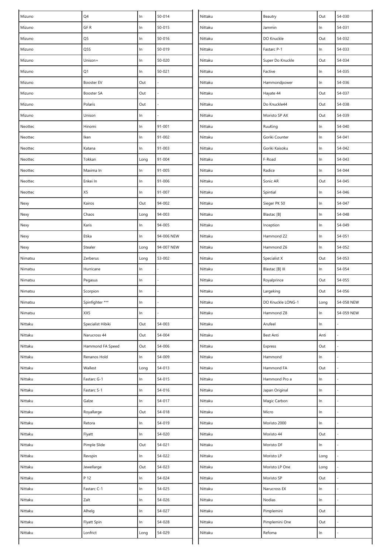| Mizuno  | Q4                | $\ln$ | 50-014     | Nittaku | Beautry           | Out   | 54-030     |
|---------|-------------------|-------|------------|---------|-------------------|-------|------------|
| Mizuno  | GF R              | In    | 50-015     | Nittaku | Jammin            | ln    | 54-031     |
| Mizuno  | Q5                | $\ln$ | 50-016     | Nittaku | DO Knuckle        | Out   | 54-032     |
| Mizuno  | Q5S               | In    | 50-019     | Nittaku | Fastarc P-1       | $\ln$ | 54-033     |
| Mizuno  | Unison+           | In    | 50-020     | Nittaku | Super Do Knuckle  | Out   | 54-034     |
| Mizuno  | Q1                | In    | $50 - 021$ | Nittaku | Factive           | In    | 54-035     |
| Mizuno  | Booster EV        | Out   |            | Nittaku | Hammondpower      | $\ln$ | 54-036     |
| Mizuno  | Booster SA        | Out   |            | Nittaku | Hayate 44         | Out   | 54-037     |
| Mizuno  | Polaris           | Out   |            | Nittaku | Do Knuckle44      | Out   | 54-038     |
| Mizuno  | Unison            | In    |            | Nittaku | Moristo SP AX     | Out   | 54-039     |
| Neottec | Hinomi            | In    | 91-001     | Nittaku | RuuKing           | $\ln$ | 54-040     |
| Neottec | Iken              | In    | 91-002     | Nittaku | Goriki Counter    | $\ln$ | 54-041     |
| Neottec | Katana            | In    | 91-003     | Nittaku | Goriki Kaisoku    | In    | 54-042     |
| Neottec | Tokkan            | Long  | 91-004     | Nittaku | F-Road            | $\ln$ | 54-043     |
| Neottec | Maxima In         | In    | 91-005     | Nittaku | Radice            | In    | 54-044     |
| Neottec | Enkei In          | In    | 91-006     | Nittaku | Sonic AR          | Out   | 54-045     |
| Neottec | X5                | In    | 91-007     | Nittaku | Spintial          | ln    | 54-046     |
| Nexy    | Kairos            | Out   | 94-002     | Nittaku | Sieger PK 50      | $\ln$ | 54-047     |
| Nexy    | Chaos             | Long  | 94-003     | Nittaku | Blastac [B]       | $\ln$ | 54-048     |
| Nexy    | Karis             | In    | 94-005     | Nittaku | Inception         | In    | 54-049     |
| Nexy    | Etika             | In    | 94-006 NEW | Nittaku | Hammond Z2        | $\ln$ | 54-051     |
| Nexy    | Stealer           | Long  | 94-007 NEW | Nittaku | Hammond Z6        | $\ln$ | 54-052     |
| Nimatsu | Zerberus          | Long  | 53-002     | Nittaku | Specialist X      | Out   | 54-053     |
| Nimatsu | Hurricane         | In    |            | Nittaku | Blastac [B] III   | In    | 54-054     |
| Nimatsu | Pegasus           | In    |            | Nittaku | Royalprince       | Out   | 54-055     |
| Nimatsu | Scorpion          | In    |            | Nittaku | Largeking         | Out   | 54-056     |
| Nimatsu | Spinfighter ***   | In    |            | Nittaku | DO Knuckle LONG-1 | Long  | 54-058 NEW |
| Nimatsu | XX5               | ln    |            | Nittaku | Hammond Z8        | $\ln$ | 54-059 NEW |
| Nittaku | Specialist Hibiki | Out   | 54-003     | Nittaku | Arufeel           | $\ln$ |            |
| Nittaku | Narucross 44      | Out   | 54-004     | Nittaku | <b>Best Anti</b>  | Anti  |            |
| Nittaku | Hammond FA Speed  | Out   | 54-006     | Nittaku | Express           | Out   |            |
| Nittaku | Renanos Hold      | In    | 54-009     | Nittaku | Hammond           | $\ln$ |            |
| Nittaku | Wallest           | Long  | 54-013     | Nittaku | Hammond FA        | Out   |            |
| Nittaku | Fastarc G-1       | In.   | 54-015     | Nittaku | Hammond Pro a     | In    |            |
| Nittaku | Fastarc S-1       | $\ln$ | 54-016     | Nittaku | Japan Original    | $\ln$ |            |
| Nittaku | Galze             | $\ln$ | 54-017     | Nittaku | Magic Carbon      | In    |            |
| Nittaku | Royallarge        | Out   | 54-018     | Nittaku | Micro             | $\ln$ |            |
| Nittaku | Retora            | In    | 54-019     | Nittaku | Moristo 2000      | $\ln$ |            |
| Nittaku | Flyatt            | In    | 54-020     | Nittaku | Moristo 44        | Out   |            |
| Nittaku | Pimple Slide      | Out   | 54-021     | Nittaku | Moristo DF        | $\ln$ |            |
| Nittaku | Revspin           | In    | 54-022     | Nittaku | Moristo LP        | Long  |            |
| Nittaku | Jewellarge        | Out   | 54-023     | Nittaku | Moristo LP One    | Long  |            |
| Nittaku | P 12              | In    | 54-024     | Nittaku | Moristo SP        | Out   |            |
| Nittaku | Fastarc C-1       | $\ln$ | 54-025     | Nittaku | Narucross EX      | $\ln$ |            |
| Nittaku | Zalt              | $\ln$ | 54-026     | Nittaku | Nodias            | $\ln$ |            |
| Nittaku | Alhelg            | $\ln$ | 54-027     | Nittaku | Pimplemini        | Out   |            |
| Nittaku | Flyatt Spin       | In    | 54-028     | Nittaku | Pimplemini One    | Out   |            |
| Nittaku | Lonfrict          | Long  | 54-029     | Nittaku | Refoma            | $\ln$ |            |
|         |                   |       |            |         |                   |       |            |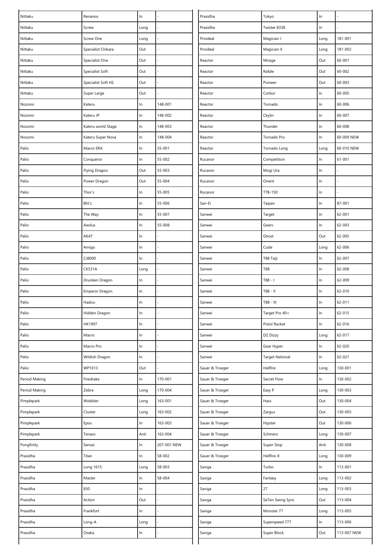| Nittaku       | Renanos               | $\ln$ |             | Prasidha        | Tokyo                  | ln    |             |
|---------------|-----------------------|-------|-------------|-----------------|------------------------|-------|-------------|
| Nittaku       | Screw                 | Long  |             | Prasidha        | Twister 8338           | In    |             |
| Nittaku       | Screw One             | Long  |             | Proideal        | Magician I             | Long  | 181-001     |
| Nittaku       | Specialist Chikara    | Out   |             | Proideal        | Magician II            | Long  | 181-002     |
| Nittaku       | Specialist One        | Out   |             | Reactor         | Mirage                 | Out   | 60-001      |
| Nittaku       | Specialist Soft       | Out   |             | Reactor         | Rafale                 | Out   | 60-002      |
| Nittaku       | Specialist Soft HS    | Out   |             | Reactor         | Pioneer                | Out   | 60-003      |
| Nittaku       | Super Large           | Out   |             | Reactor         | Corbor                 | $\ln$ | 60-005      |
| Nozomi        | Kateru                | In    | 148-001     | Reactor         | Tornado                | $\ln$ | 60-006      |
| Nozomi        | Kateru JP             | In    | 148-002     | Reactor         | Ckylin                 | In    | 60-007      |
| Nozomi        | Kateru world Stage    | In    | 148-003     | Reactor         | Thunder                | In    | 60-008      |
| Nozomi        | Kateru Super Nova     | ln    | 148-004     | Reactor         | Tornado Pro            | In    | 60-009 NEW  |
| Palio         | Macro ERA             | In    | 55-001      | Reactor         | Tornado Long           | Long  | 60-010 NEW  |
| Palio         | Conqueror             | $\ln$ | 55-002      | Rucanor         | Competition            | In    | 61-001      |
| Palio         | Flying Dragon         | Out   | 55-003      | Rucanor         | Mogi Ura               | $\ln$ |             |
| Palio         | Power Dragon          | Out   | 55-004      | Rucanor         | Orient                 | In    |             |
| Palio         | Thor's                | In    | 55-005      | Rucanor         | TTB-150                | $\ln$ |             |
| Palio         | Blit'z                | In    | 55-006      | San-Ei          | Taipan                 | In    | 87-001      |
| Palio         | The Way               | In    | 55-007      | Sanwei          | Target                 | In    | 62-001      |
| Palio         | Aeolus                | In    | 55-008      | Sanwei          | Gears                  | In    | 62-003      |
| Palio         | AK47                  | In    |             | Sanwei          | Ghost                  | Out   | 62-005      |
| Palio         | Amigo                 | In    |             | Sanwei          | Code                   | Long  | 62-006      |
| Palio         | CJ8000                | In    |             | Sanwei          | T88 Taiji              | $\ln$ | 62-007      |
| Palio         | <b>CK531A</b>         | Long  |             | Sanwei          | T88                    | In    | 62-008      |
| Palio         | Drunken Dragon        | In    |             | Sanwei          | $T88 - I$              | In    | 62-009      |
| Palio         | <b>Emperor Dragon</b> | In    |             | Sanwei          | T88 - II               | In    | 62-010      |
| Palio         | Hadou                 | In    |             | Sanwei          | T88 - III              | In    | 62-011      |
| Palio         | Hidden Dragon         | $\ln$ |             | Sanwei          | Target Pro 40+         | $\ln$ | 62-015      |
| Palio         | HK1997                | In    |             | Sanwei          | Pistol Racket          | In    | 62-016      |
| Palio         | Macro                 | $\ln$ |             | Sanwei          | DZ Dizzy               | Long  | 62-017      |
| Palio         | Macro Pro             | In    |             | Sanwei          | Gear Hyper             | $\ln$ | 62-020      |
| Palio         | Wildish Dragon        | In    |             | Sanwei          | <b>Target National</b> | $\ln$ | 62-021      |
| Palio         | WP1013                | Out   |             | Sauer & Troeger | Hellfire               | Long  | 130-001     |
| Period Making | Firedrake             | In    | 170-001     | Sauer & Troeger | Secret Flow            | In    | 130-002     |
| Period Making | Zebra                 | Long  | 170-004     | Sauer & Troeger | Easy P                 | Long  | 130-003     |
| Pimplepark    | Wobbler               | Long  | 163-001     | Sauer & Troeger | Hass                   | Out   | 130-004     |
| Pimplepark    | Cluster               | Long  | 163-002     | Sauer & Troeger | Zargus                 | Out   | 130-005     |
| Pimplepark    | Epos                  | In.   | 163-003     | Sauer & Troeger | Hipster                | Out   | 130-006     |
| Pimplepark    | Tenaxx                | Anti  | 163-004     | Sauer & Troeger | Schmerz                | Long  | 130-007     |
| Pongfinity    | Sensei                | $\ln$ | 207-001 NEW | Sauer & Troeger | Super Stop             | Anti  | 130-008     |
| Prasidha      | Titan                 | In    | 58-002      | Sauer & Troeger | Hellfire-X             | Long  | 130-009     |
| Prasidha      | Long 1615             | Long  | 58-003      | Saviga          | Turbo                  | $\ln$ | 113-001     |
| Prasidha      | Master                | In    | 58-004      | Saviga          | Fantasy                | Long  | 113-002     |
| Prasidha      | 830                   | $\ln$ |             | Saviga          | 27                     | Long  | 113-003     |
| Prasidha      | Action                | Out   |             | Saviga          | Se7en Swing Sync       | Out   | 113-004     |
| Prasidha      | Frankfurt             | In    |             | Saviga          | Monster 77             | Long  | 113-005     |
| Prasidha      | Long-A                | Long  |             | Saviga          | Superspeed 777         | $\ln$ | 113-006     |
| Prasidha      | Osaka                 | In    |             | Saviga          | Super Block            | Out   | 113-007 NEW |
|               |                       |       |             |                 |                        |       |             |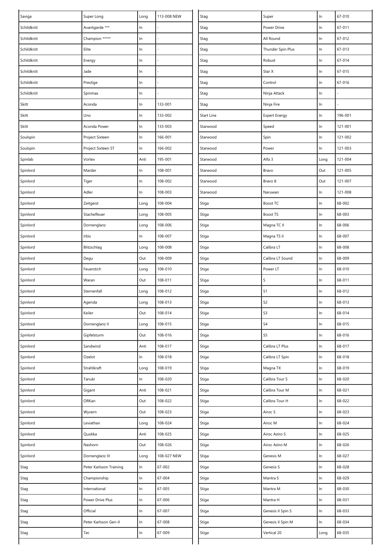| Saviga     | Super Long              | Long  | 113-008 NEW | Stag       | Super                | $\ln$ | 67-010  |
|------------|-------------------------|-------|-------------|------------|----------------------|-------|---------|
| Schildkröt | Avantgarde ***          | In    |             | Stag       | Power Drive          | ln    | 67-011  |
| Schildkröt | Champion *****          | $\ln$ |             | Stag       | All Round            | $\ln$ | 67-012  |
| Schildkröt | Elite                   | In    |             | Stag       | Thunder Spin Plus    | $\ln$ | 67-013  |
| Schildkröt | Energy                  | In    |             | Stag       | Robust               | $\ln$ | 67-014  |
| Schildkröt | Jade                    | In    |             | Stag       | Star X               | $\ln$ | 67-015  |
| Schildkröt | Prestige                | $\ln$ |             | Stag       | Control              | $\ln$ | 67-016  |
| Schildkröt | Spinmax                 | In    |             | Stag       | Ninja Attack         | $\ln$ |         |
| Skitt      | Aconda                  | $\ln$ | 133-001     | Stag       | Ninja Fire           | $\ln$ |         |
| Skitt      | Uno                     | $\ln$ | 133-002     | Start Line | <b>Expert Energy</b> | $\ln$ | 196-001 |
| Skitt      | Aconda Power            | $\ln$ | 133-003     | Starwood   | Speed                | $\ln$ | 121-001 |
| Soulspin   | Project Sixteen         | $\ln$ | 166-001     | Starwood   | Spin                 | $\ln$ | 121-002 |
| Soulspin   | Project Sixteen ST      | In    | 166-002     | Starwood   | Power                | $\ln$ | 121-003 |
| Spinlab    | Vortex                  | Anti  | 195-001     | Starwood   | Alfa 3               | Long  | 121-004 |
| Spinlord   | Marder                  | $\ln$ | 108-001     | Starwood   | Bravo                | Out   | 121-005 |
| Spinlord   | Tiger                   | $\ln$ | 108-002     | Starwood   | Bravo 8              | Out   | 121-007 |
| Spinlord   | Adler                   | $\ln$ | 108-003     | Starwood   | Naruwan              | $\ln$ | 121-008 |
| Spinlord   | Zeitgeist               | Long  | 108-004     | Stiga      | Boost TC             | $\ln$ | 68-002  |
| Spinlord   | Stachelfeuer            | Long  | 108-005     | Stiga      | <b>Boost TS</b>      | $\ln$ | 68-003  |
| Spinlord   | Dornenglanz             | Long  | 108-006     | Stiga      | Magna TC II          | $\ln$ | 68-006  |
| Spinlord   | Irbis                   | In    | 108-007     | Stiga      | Magna TS II          | $\ln$ | 68-007  |
| Spinlord   | Blitzschlag             | Long  | 108-008     | Stiga      | Calibra LT           | $\ln$ | 68-008  |
| Spinlord   | Degu                    | Out   | 108-009     | Stiga      | Calibra LT Sound     | ln    | 68-009  |
| Spinlord   | Feuerstich              | Long  | 108-010     | Stiga      | Power LT             | $\ln$ | 68-010  |
| Spinlord   | Waran                   | Out   | 108-011     | Stiga      | $\sf S$              | $\ln$ | 68-011  |
| Spinlord   | Sternenfall             | Long  | 108-012     | Stiga      | S <sub>1</sub>       | $\ln$ | 68-012  |
| Spinlord   | Agenda                  | Long  | 108-013     | Stiga      | S <sub>2</sub>       | $\ln$ | 68-013  |
| Spinlord   | Keiler                  | Out   | 108-014     | Stiga      | $S3$                 | $\ln$ | 68-014  |
| Spinlord   | Dornenglanz II          | Long  | 108-015     | Stiga      | S <sub>4</sub>       | In    | 68-015  |
| Spinlord   | Gipfelsturm             | Out   | 108-016     | Stiga      | S <sub>5</sub>       | $\ln$ | 68-016  |
| Spinlord   | Sandwind                | Anti  | 108-017     | Stiga      | Calibra LT Plus      | $\ln$ | 68-017  |
| Spinlord   | Ozelot                  | In    | 108-018     | Stiga      | Calibra LT Spin      | $\ln$ | 68-018  |
| Spinlord   | Strahlkraft             | Long  | 108-019     | Stiga      | Magna TX             | $\ln$ | 68-019  |
| Spinlord   | Tanuki                  | In    | 108-020     | Stiga      | Calibra Tour S       | $\ln$ | 68-020  |
| Spinlord   | Gigant                  | Anti  | 108-021     | Stiga      | Calibra Tour M       | ln    | 68-021  |
| Spinlord   | ORKan                   | Out   | 108-022     | Stiga      | Calibra Tour H       | In    | 68-022  |
| Spinlord   | Wyvern                  | Out   | 108-023     | Stiga      | Airoc S              | ln    | 68-023  |
| Spinlord   | Leviathan               | Long  | 108-024     | Stiga      | Airoc M              | $\ln$ | 68-024  |
| Spinlord   | Quokka                  | Anti  | 108-025     | Stiga      | Airoc Astro S        | $\ln$ | 68-025  |
| Spinlord   | Nashorn                 | Out   | 108-026     | Stiga      | Airoc Astro M        | ln    | 68-026  |
| Spinlord   | Dornenglanz III         | Long  | 108-027 NEW | Stiga      | Genesis M            | $\ln$ | 68-027  |
| Stag       | Peter Karlsson Training | In    | 67-002      | Stiga      | Genesis S            | $\ln$ | 68-028  |
| Stag       | Championship            | In    | 67-004      | Stiga      | Mantra S             | $\ln$ | 68-029  |
| Stag       | International           | $\ln$ | 67-005      | Stiga      | Mantra M             | $\ln$ | 68-030  |
| Stag       | Power Drive Plus        | $\ln$ | 67-006      | Stiga      | Mantra H             | ln    | 68-031  |
| Stag       | Official                | In    | 67-007      | Stiga      | Genesis II Spin S    | $\ln$ | 68-033  |
| Stag       | Peter Karlsson Gen-II   | $\ln$ | 67-008      | Stiga      | Genesis II Spin M    | $\ln$ | 68-034  |
| Stag       | Tec                     | In    | 67-009      | Stiga      | Vertical 20          | Long  | 68-035  |
|            |                         |       |             |            |                      |       |         |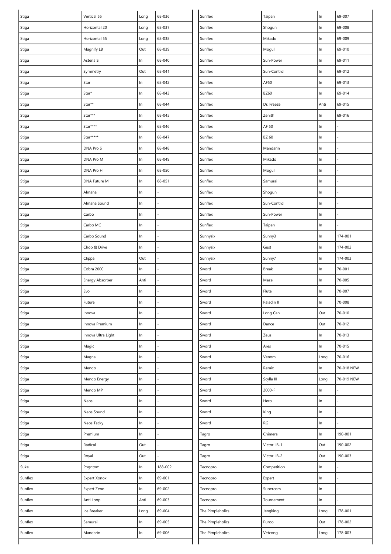| Stiga   | Vertical 55        | Long  | 68-036  | Sunflex          | Taipan      | $\ln$ | 69-007     |
|---------|--------------------|-------|---------|------------------|-------------|-------|------------|
| Stiga   | Horizontal 20      | Long  | 68-037  | Sunflex          | Shogun      | $\ln$ | 69-008     |
| Stiga   | Horizontal 55      | Long  | 68-038  | Sunflex          | Mikado      | $\ln$ | 69-009     |
| Stiga   | Magnify LB         | Out   | 68-039  | Sunflex          | Mogul       | $\ln$ | 69-010     |
| Stiga   | Asteria S          | In    | 68-040  | Sunflex          | Sun-Power   | $\ln$ | 69-011     |
| Stiga   | Symmetry           | Out   | 68-041  | Sunflex          | Sun-Control | In    | 69-012     |
| Stiga   | Star               | $\ln$ | 68-042  | Sunflex          | AF50        | In    | 69-013     |
| Stiga   | $Star^*$           | $\ln$ | 68-043  | Sunflex          | <b>BZ60</b> | In    | 69-014     |
| Stiga   | Star**             | $\ln$ | 68-044  | Sunflex          | Dr. Freeze  | Anti  | 69-015     |
| Stiga   | Star***            | $\ln$ | 68-045  | Sunflex          | Zenith      | $\ln$ | 69-016     |
| Stiga   | Star****           | In    | 68-046  | Sunflex          | AF 50       | $\ln$ |            |
| Stiga   | Star*****          | $\ln$ | 68-047  | Sunflex          | BZ 60       | In    |            |
| Stiga   | DNA Pro S          | In    | 68-048  | Sunflex          | Mandarin    | $\ln$ |            |
| Stiga   | DNA Pro M          | $\ln$ | 68-049  | Sunflex          | Mikado      | In    |            |
| Stiga   | DNA Pro H          | In    | 68-050  | Sunflex          | Mogul       | $\ln$ |            |
| Stiga   | DNA Future M       | In    | 68-051  | Sunflex          | Samurai     | In    |            |
| Stiga   | Almana             | $\ln$ |         | Sunflex          | Shogun      | In    |            |
| Stiga   | Almana Sound       | In    |         | Sunflex          | Sun-Control | $\ln$ |            |
| Stiga   | Carbo              | $\ln$ |         | Sunflex          | Sun-Power   | $\ln$ |            |
| Stiga   | Carbo MC           | In    |         | Sunflex          | Taipan      | $\ln$ |            |
| Stiga   | Carbo Sound        | $\ln$ |         | Sunnysix         | Sunny3      | In    | 174-001    |
| Stiga   | Chop & Drive       | $\ln$ |         | Sunnysix         | Gust        | In    | 174-002    |
| Stiga   | Clippa             | Out   |         | Sunnysix         | Sunny7      | $\ln$ | 174-003    |
| Stiga   | Cobra 2000         | In    |         | Sword            | Break       | $\ln$ | 70-001     |
| Stiga   | Energy Absorber    | Anti  |         | Sword            | Maze        | $\ln$ | 70-005     |
| Stiga   | Evo                | In    |         | Sword            | Flute       | $\ln$ | 70-007     |
| Stiga   | Future             | $\ln$ |         | Sword            | Paladin II  | $\ln$ | 70-008     |
| Stiga   | Innova             | In    |         | Sword            | Long Can    | Out   | 70-010     |
| Stiga   | Innova Premium     | In    |         | Sword            | Dance       | Out   | 70-012     |
| Stiga   | Innova Ultra Light | In    |         | Sword            | Zeus        | $\ln$ | 70-013     |
| Stiga   | Magic              | $\ln$ |         | Sword            | Ares        | $\ln$ | 70-015     |
| Stiga   | Magna              | In    |         | Sword            | Venom       | Long  | 70-016     |
| Stiga   | Mendo              | In    |         | Sword            | Remix       | $\ln$ | 70-018 NEW |
| Stiga   | Mendo Energy       | In    |         | Sword            | Scylla III  | Long  | 70-019 NEW |
| Stiga   | Mendo MP           | In    |         | Sword            | 2000-F      | $\ln$ |            |
| Stiga   | Neos               | $\ln$ |         | Sword            | Hero        | In    |            |
| Stiga   | Neos Sound         | In    |         | Sword            | King        | ln    |            |
| Stiga   | Neos Tacky         | In    |         | Sword            | RG          | In    |            |
| Stiga   | Premium            | In    |         | Tagro            | Chimera     | In    | 190-001    |
| Stiga   | Radical            | Out   |         | Tagro            | Victor LB-1 | Out   | 190-002    |
| Stiga   | Royal              | Out   |         | Tagro            | Victor LB-2 | Out   | 190-003    |
| Suke    | Phgntom            | In    | 188-002 | Tecnopro         | Competition | $\ln$ |            |
| Sunflex | Expert Xonox       | In    | 69-001  | Tecnopro         | Expert      | In    |            |
| Sunflex | Expert Zeno        | $\ln$ | 69-002  | Tecnopro         | Supercom    | ln    |            |
| Sunflex | Anti Loop          | Anti  | 69-003  | Tecnopro         | Tournament  | $\ln$ |            |
| Sunflex | Ice Breaker        | Long  | 69-004  | The Pimpleholics | Jengking    | Long  | 178-001    |
| Sunflex | Samurai            | In    | 69-005  | The Pimpleholics | Puroo       | Out   | 178-002    |
| Sunflex | Mandarin           | In    | 69-006  | The Pimpleholics | Vetcong     | Long  | 178-003    |
|         |                    |       |         |                  |             |       |            |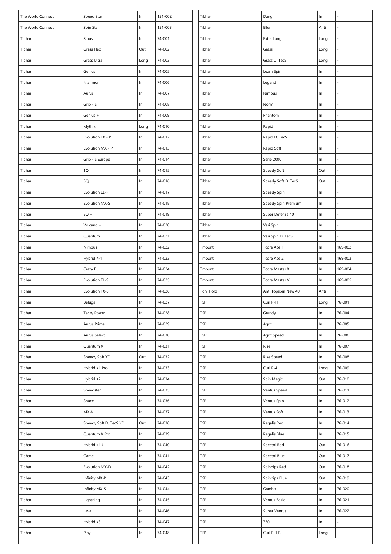| The World Connect | Speed Star             | In    | 151-002 | Tibhar     | Dang                  | $\ln$ |         |
|-------------------|------------------------|-------|---------|------------|-----------------------|-------|---------|
| The World Connect | Spin Star              | In    | 151-003 | Tibhar     | Ellen                 | Anti  |         |
| Tibhar            | Sinus                  | $\ln$ | 74-001  | Tibhar     | Extra Long            | Long  |         |
| Tibhar            | Grass Flex             | Out   | 74-002  | Tibhar     | Grass                 | Long  |         |
| Tibhar            | Grass Ultra            | Long  | 74-003  | Tibhar     | Grass D. TecS         | Long  |         |
| Tibhar            | Genius                 | In    | 74-005  | Tibhar     | Learn Spin            | $\ln$ |         |
| Tibhar            | Nianmor                | In    | 74-006  | Tibhar     | Legend                | ln    |         |
| Tibhar            | Aurus                  | In    | 74-007  | Tibhar     | Nimbus                | $\ln$ |         |
| Tibhar            | Grip - S               | In    | 74-008  | Tibhar     | Norm                  | In    |         |
| Tibhar            | Genius +               | $\ln$ | 74-009  | Tibhar     | Phantom               | $\ln$ |         |
| Tibhar            | Mythik                 | Long  | 74-010  | Tibhar     | Rapid                 | $\ln$ |         |
| Tibhar            | Evolution FX - P       | $\ln$ | 74-012  | Tibhar     | Rapid D. TecS         | ln    |         |
| Tibhar            | Evolution MX - P       | $\ln$ | 74-013  | Tibhar     | Rapid Soft            | $\ln$ |         |
| Tibhar            | Grip - S Europe        | $\ln$ | 74-014  | Tibhar     | Serie 2000            | $\ln$ |         |
| Tibhar            | 1Q                     | In    | 74-015  | Tibhar     | Speedy Soft           | Out   |         |
| Tibhar            | 5Q                     | In    | 74-016  | Tibhar     | Speedy Soft D. TecS   | Out   |         |
| Tibhar            | Evolution EL-P         | $\ln$ | 74-017  | Tibhar     | Speedy Spin           | $\ln$ |         |
| Tibhar            | Evolution MX-S         | $\ln$ | 74-018  | Tibhar     | Speedy Spin Premium   | In    |         |
| Tibhar            | $5Q +$                 | $\ln$ | 74-019  | Tibhar     | Super Defense 40      | In    |         |
| Tibhar            | Volcano +              | $\ln$ | 74-020  | Tibhar     | Vari Spin             | In    |         |
| Tibhar            | Quantum                | In    | 74-021  | Tibhar     | Vari Spin D. TecS     | $\ln$ |         |
| Tibhar            | Nimbus                 | $\ln$ | 74-022  | Tmount     | Tcore Ace 1           | $\ln$ | 169-002 |
| Tibhar            | Hybrid K-1             | In    | 74-023  | Tmount     | Tcore Ace 2           | In    | 169-003 |
| Tibhar            | Crazy Bull             | $\ln$ | 74-024  | Tmount     | <b>Tcore Master X</b> | $\ln$ | 169-004 |
| Tibhar            | Evolution EL-S         | In    | 74-025  | Tmount     | Tcore Master V        | In    | 169-005 |
|                   |                        |       |         |            |                       |       |         |
| Tibhar            | Evolution FX-S         | In    | 74-026  | Toni Hold  | Anti Topspin New 40   | Anti  |         |
| Tibhar            | Beluga                 | In    | 74-027  | TSP        | Curl P-H              | Long  | 76-001  |
| Tibhar            | <b>Tacky Power</b>     | In    | 74-028  | <b>TSP</b> | Grandy                | $\ln$ | 76-004  |
| Tibhar            | Aurus Prime            | In    | 74-029  | <b>TSP</b> | Agrit                 | $\ln$ | 76-005  |
| Tibhar            | Aurus Select           | In    | 74-030  | TSP        | Agrit Speed           | $\ln$ | 76-006  |
| Tibhar            | Quantum X              | In    | 74-031  | TSP        | Rise                  | In    | 76-007  |
| Tibhar            | Speedy Soft XD         | Out   | 74-032  | TSP        | Rise Speed            | $\ln$ | 76-008  |
| Tibhar            | Hybrid K1 Pro          | $\ln$ | 74-033  | TSP        | Curl P-4              | Long  | 76-009  |
| Tibhar            | Hybrid K2              | $\ln$ | 74-034  | TSP        | Spin Magic            | Out   | 76-010  |
| Tibhar            | Speedster              | In    | 74-035  | TSP        | Ventus Speed          | In    | 76-011  |
| Tibhar            | Space                  | $\ln$ | 74-036  | TSP        | Ventus Spin           | In    | 76-012  |
| Tibhar            | $MX-K$                 | In    | 74-037  | <b>TSP</b> | Ventus Soft           | $\ln$ | 76-013  |
| Tibhar            | Speedy Soft D. TecS XD | Out   | 74-038  | TSP        | Regalis Red           | $\ln$ | 76-014  |
| Tibhar            | Quantum X Pro          | In    | 74-039  | TSP        | Regalis Blue          | $\ln$ | 76-015  |
| Tibhar            | Hybrid K1 J            | $\ln$ | 74-040  | TSP        | Spectol Red           | Out   | 76-016  |
| Tibhar            | Game                   | In    | 74-041  | TSP        | Spectol Blue          | Out   | 76-017  |
| Tibhar            | Evolution MX-D         | In    | 74-042  | TSP        | Spinpips Red          | Out   | 76-018  |
| Tibhar            | Infinity MX-P          | In    | 74-043  | TSP        | Spinpips Blue         | Out   | 76-019  |
| Tibhar            | Infinity MX-S          | $\ln$ | 74-044  | <b>TSP</b> | Gambit                | $\ln$ | 76-020  |
| Tibhar            | Lightning              | $\ln$ | 74-045  | TSP        | Ventus Basic          | In    | 76-021  |
| Tibhar            | Lava                   | In    | 74-046  | TSP        | Super Ventus          | $\ln$ | 76-022  |
| Tibhar            | Hybrid K3              | $\ln$ | 74-047  | TSP        | 730                   | In    |         |
| Tibhar            | Play                   | In    | 74-048  | <b>TSP</b> | Curl P-1 R            | Long  |         |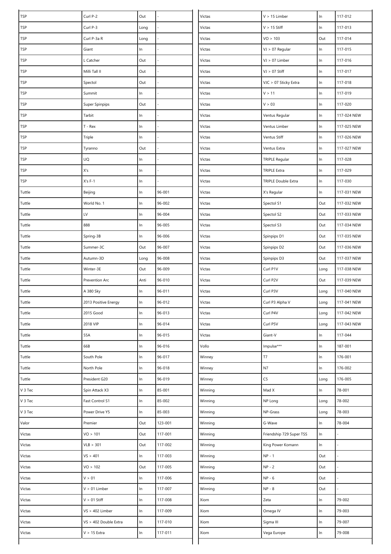| TSP        | Curl P-2              | Out   |         | Victas  | $V > 15$ Limber            | $\ln$ | 117-012     |
|------------|-----------------------|-------|---------|---------|----------------------------|-------|-------------|
| <b>TSP</b> | Curl P-3              | Long  |         | Victas  | $V > 15$ Stiff             | $\ln$ | 117-013     |
| <b>TSP</b> | Curl P-3a R           | Long  |         | Victas  | VO > 103                   | Out   | 117-014     |
| TSP        | Giant                 | In    |         | Victas  | VJ > 07 Regular            | $\ln$ | 117-015     |
| <b>TSP</b> | L Catcher             | Out   |         | Victas  | VJ > 07 Limber             | $\ln$ | 117-016     |
| <b>TSP</b> | Milli Tall II         | Out   |         | Victas  | $VJ > 07$ Stiff            | $\ln$ | 117-017     |
| <b>TSP</b> | Spectol               | Out   |         | Victas  | VJC > 07 Sticky Extra      | In    | 117-018     |
| <b>TSP</b> | Summit                | In    |         | Victas  | V > 11                     | $\ln$ | 117-019     |
| <b>TSP</b> | Super Spinpips        | Out   |         | Victas  | V > 03                     | $\ln$ | 117-020     |
| <b>TSP</b> | Tarbit                | $\ln$ |         | Victas  | Ventus Regular             | $\ln$ | 117-024 NEW |
| <b>TSP</b> | $T - Rex$             | In    |         | Victas  | Ventus Limber              | $\ln$ | 117-025 NEW |
| <b>TSP</b> | Triple                | $\ln$ |         | Victas  | Ventus Stiff               | $\ln$ | 117-026 NEW |
| TSP        | Tyranno               | Out   |         | Victas  | Ventus Extra               | $\ln$ | 117-027 NEW |
| <b>TSP</b> | UQ                    | In    |         | Victas  | <b>TRIPLE Regular</b>      | $\ln$ | 117-028     |
| <b>TSP</b> | X's                   | $\ln$ |         | Victas  | <b>TRIPLE Extra</b>        | $\ln$ | 117-029     |
| <b>TSP</b> | $X's F-1$             | In    |         | Victas  | <b>TRIPLE Double Extra</b> | $\ln$ | 117-030     |
| Tuttle     | Beijing               | $\ln$ | 96-001  | Victas  | X's Regular                | $\ln$ | 117-031 NEW |
| Tuttle     | World No. 1           | ln    | 96-002  | Victas  | Spectol S1                 | Out   | 117-032 NEW |
| Tuttle     | LV                    | $\ln$ | 96-004  | Victas  | Spectol S2                 | Out   | 117-033 NEW |
| Tuttle     | 888                   | In    | 96-005  | Victas  | Spectol S3                 | Out   | 117-034 NEW |
| Tuttle     | Spring-3B             | $\ln$ | 96-006  | Victas  | Spinpips D1                | Out   | 117-035 NEW |
| Tuttle     | Summer-3C             | Out   | 96-007  | Victas  | Spinpips D2                | Out   | 117-036 NEW |
| Tuttle     | Autumn-3D             | Long  | 96-008  | Victas  | Spinpips D3                | Out   | 117-037 NEW |
| Tuttle     | Winter-3E             | Out   | 96-009  | Victas  | Curl P1V                   | Long  | 117-038 NEW |
| Tuttle     | Prevention Arc        | Anti  | 96-010  | Victas  | Curl P2V                   | Out   | 117-039 NEW |
| Tuttle     | A 380 Sky             | In    | 96-011  | Victas  | Curl P3V                   | Long  | 117-040 NEW |
| Tuttle     | 2013 Positive Energy  | $\ln$ | 96-012  | Victas  | Curl P3 Alpha V            | Long  | 117-041 NEW |
| Tuttle     | 2015 Good             | $\ln$ | 96-013  | Victas  | Curl P4V                   | Long  | 117-042 NEW |
| Tuttle     | 2018 VIP              | $\ln$ | 96-014  | Victas  | Curl P5V                   | Long  | 117-043 NEW |
| Tuttle     | 55A                   | ln    | 96-015  | Victas  | Giant-V                    | $\ln$ | 117-044     |
| Tuttle     | 66B                   | $\ln$ | 96-016  | Vollo   | Impulse***                 | $\ln$ | 187-001     |
| Tuttle     | South Pole            | ln    | 96-017  | Winney  | T7                         | $\ln$ | 176-001     |
| Tuttle     | North Pole            | $\ln$ | 96-018  | Winney  | N7                         | $\ln$ | 176-002     |
| Tuttle     | President G20         | In    | 96-019  | Winney  | C5                         | Long  | 176-005     |
| V 3 Tec    | Spin Attack X3        | In    | 85-001  | Winning | Mad X                      | ln    | 78-001      |
| V 3 Tec    | Fast Control S1       | In    | 85-002  | Winning | NP Long                    | Long  | 78-002      |
| V 3 Tec    | Power Drive Y5        | In    | 85-003  | Winning | NP-Grass                   | Long  | 78-003      |
| Valor      | Premier               | Out   | 123-001 | Winning | G-Wave                     | ln    | 78-004      |
| Victas     | VO > 101              | Out   | 117-001 | Winning | Friendship 729 Super TSS   | ln    |             |
| Victas     | VLB > 301             | Out   | 117-002 | Winning | King Power Komann          | $\ln$ |             |
| Victas     | VS > 401              | ln    | 117-003 | Winning | $NP - 1$                   | Out   |             |
| Victas     | VO > 102              | Out   | 117-005 | Winning | $NP - 2$                   | Out   |             |
| Victas     | V > 01                | In    | 117-006 | Winning | $NP - 6$                   | Out   |             |
| Victas     | $V > 01$ Limber       | $\ln$ | 117-007 | Winning | $NP - 8$                   | Out   |             |
| Victas     | $V > 01$ Stiff        | In    | 117-008 | Xiom    | Zeta                       | $\ln$ | 79-002      |
| Victas     | $VS > 402$ Limber     | ln    | 117-009 | Xiom    | Omega IV                   | $\ln$ | 79-003      |
| Victas     | VS > 402 Double Extra | $\ln$ | 117-010 | Xiom    | Sigma III                  | $\ln$ | 79-007      |
| Victas     | $V > 15$ Extra        | In    | 117-011 | Xiom    | Vega Europe                | $\ln$ | 79-008      |
|            |                       |       |         |         |                            |       |             |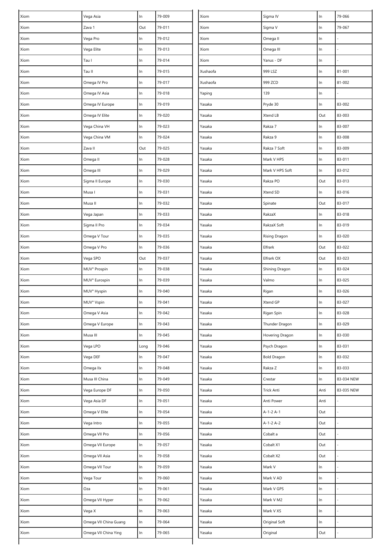| Xiom | Vega Asia             | $\ln$ | 79-009 | Xiom     | Sigma IV           | In    | 79-066     |
|------|-----------------------|-------|--------|----------|--------------------|-------|------------|
| Xiom | Zava 1                | Out   | 79-011 | Xiom     | Sigma V            | $\ln$ | 79-067     |
| Xiom | Vega Pro              | $\ln$ | 79-012 | Xiom     | Omega II           | $\ln$ |            |
| Xiom | Vega Elite            | $\ln$ | 79-013 | Xiom     | Omega III          | $\ln$ |            |
| Xiom | Tau I                 | $\ln$ | 79-014 | Xiom     | Yanus - DF         | $\ln$ |            |
| Xiom | Tau II                | $\ln$ | 79-015 | Xushaofa | 999 LSZ            | $\ln$ | 81-001     |
| Xiom | Omega IV Pro          | In    | 79-017 | Xushaofa | 999 ZCD            | $\ln$ | 81-002     |
| Xiom | Omega IV Asia         | $\ln$ | 79-018 | Yaping   | 139                | $\ln$ |            |
| Xiom | Omega IV Europe       | $\ln$ | 79-019 | Yasaka   | Pryde 30           | $\ln$ | 83-002     |
| Xiom | Omega IV Elite        | $\ln$ | 79-020 | Yasaka   | Xtend LB           | Out   | 83-003     |
| Xiom | Vega China VH         | In    | 79-023 | Yasaka   | Rakza 7            | $\ln$ | 83-007     |
| Xiom | Vega China VM         | $\ln$ | 79-024 | Yasaka   | Rakza 9            | $\ln$ | 83-008     |
| Xiom | Zava II               | Out   | 79-025 | Yasaka   | Rakza 7 Soft       | $\ln$ | 83-009     |
| Xiom | Omega II              | ln    | 79-028 | Yasaka   | Mark V HPS         | $\ln$ | 83-011     |
| Xiom | Omega III             | $\ln$ | 79-029 | Yasaka   | Mark V HPS Soft    | $\ln$ | 83-012     |
| Xiom | Sigma II Europe       | In    | 79-030 | Yasaka   | Rakza PO           | Out   | 83-013     |
| Xiom | Musa I                | $\ln$ | 79-031 | Yasaka   | Xtend SD           | $\ln$ | 83-016     |
| Xiom | Musa II               | $\ln$ | 79-032 | Yasaka   | Spinate            | Out   | 83-017     |
| Xiom | Vega Japan            | $\ln$ | 79-033 | Yasaka   | RakzaX             | $\ln$ | 83-018     |
| Xiom | Sigma II Pro          | $\ln$ | 79-034 | Yasaka   | RakzaX Soft        | $\ln$ | 83-019     |
| Xiom | Omega V Tour          | In    | 79-035 | Yasaka   | Rising Dragon      | $\ln$ | 83-020     |
| Xiom | Omega V Pro           | $\ln$ | 79-036 | Yasaka   | Elfrark            | Out   | 83-022     |
| Xiom | Vega SPO              | Out   | 79-037 | Yasaka   | Elfrark OX         | Out   | 83-023     |
| Xiom | MUV° Prospin          | $\ln$ | 79-038 | Yasaka   | Shining Dragon     | $\ln$ | 83-024     |
| Xiom | MUV° Eurospin         | In    | 79-039 | Yasaka   | Valmo              | $\ln$ | 83-025     |
| Xiom | MUV° Hyspin           | $\ln$ | 79-040 | Yasaka   | Rigan              | $\ln$ | 83-026     |
| Xiom | MUV° Vspin            | ln    | 79-041 | Yasaka   | Xtend GP           | ln    | 83-027     |
| Xiom | Omega V Asia          | ln    | 79-042 | Yasaka   | Rigan Spin         | $\ln$ | 83-028     |
| Xiom | Omega V Europe        | $\ln$ | 79-043 | Yasaka   | Thunder Dragon     | $\ln$ | 83-029     |
| Xiom | Musa III              | In    | 79-045 | Yasaka   | Hovering Dragon    | $\ln$ | 83-030     |
| Xiom | Vega LPO              | Long  | 79-046 | Yasaka   | Psych Dragon       | $\ln$ | 83-031     |
| Xiom | Vega DEF              | ln    | 79-047 | Yasaka   | <b>Bold Dragon</b> | $\ln$ | 83-032     |
| Xiom | Omega IIx             | $\ln$ | 79-048 | Yasaka   | Rakza Z            | $\ln$ | 83-033     |
| Xiom | Musa III China        | $\ln$ | 79-049 | Yasaka   | Crestar            | $\ln$ | 83-034 NEW |
| Xiom | Vega Europe DF        | In    | 79-050 | Yasaka   | Trick Anti         | Anti  | 83-035 NEW |
| Xiom | Vega Asia DF          | $\ln$ | 79-051 | Yasaka   | Anti Power         | Anti  |            |
| Xiom | Omega V Elite         | ln    | 79-054 | Yasaka   | $A-1-2A-1$         | Out   |            |
| Xiom | Vega Intro            | $\ln$ | 79-055 | Yasaka   | $A-1-2A-2$         | Out   |            |
| Xiom | Omega VII Pro         | In    | 79-056 | Yasaka   | Cobalt a           | Out   |            |
| Xiom | Omega VII Europe      | $\ln$ | 79-057 | Yasaka   | Cobalt X1          | Out   |            |
| Xiom | Omega VII Asia        | $\ln$ | 79-058 | Yasaka   | Cobalt X2          | Out   |            |
| Xiom | Omega VII Tour        | In    | 79-059 | Yasaka   | Mark V             | ln    |            |
| Xiom | Vega Tour             | In    | 79-060 | Yasaka   | Mark V AD          | $\ln$ |            |
| Xiom | Oza                   | $\ln$ | 79-061 | Yasaka   | Mark V GPS         | $\ln$ |            |
| Xiom | Omega VII Hyper       | $\ln$ | 79-062 | Yasaka   | Mark V M2          | $\ln$ |            |
| Xiom | Vega X                | In    | 79-063 | Yasaka   | Mark V XS          | $\ln$ |            |
| Xiom | Omega VII China Guang | $\ln$ | 79-064 | Yasaka   | Original Soft      | ln    |            |
| Xiom | Omega VII China Ying  | $\ln$ | 79-065 | Yasaka   | Original           | Out   |            |
|      |                       |       |        |          |                    |       |            |